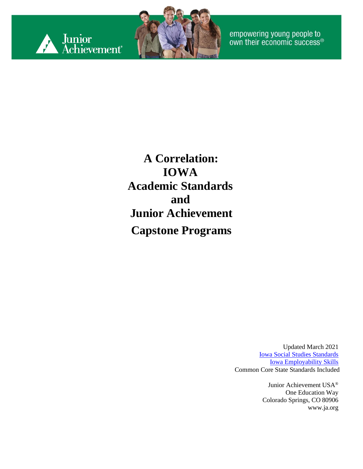



empowering young people to<br>own their economic success®

**A Correlation: IOWA Academic Standards and Junior Achievement Capstone Programs**

> Updated March 2021 [Iowa Social Studies Standards](https://iowacore.gov/sites/default/files/k-12_socialstudies_508.pdf) [Iowa Employability Skills](https://iowacore.gov/sites/default/files/k-12_21stcentskills.pdf) Common Core State Standards Included

> > Junior Achievement USA® One Education Way Colorado Springs, CO 80906 [www.ja.org](http://www.ja.org/)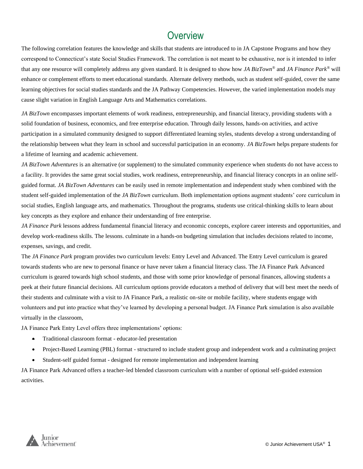#### **Overview**

The following correlation features the knowledge and skills that students are introduced to in JA Capstone Programs and how they correspond to Connecticut's state Social Studies Framework. The correlation is not meant to be exhaustive, nor is it intended to infer that any one resource will completely address any given standard. It is designed to show how *JA BizTown®* and *JA Finance Park®* will enhance or complement efforts to meet educational standards. Alternate delivery methods, such as student self-guided, cover the same learning objectives for social studies standards and the JA Pathway Competencies. However, the varied implementation models may cause slight variation in English Language Arts and Mathematics correlations.

*JA BizTown* encompasses important elements of work readiness, entrepreneurship, and financial literacy, providing students with a solid foundation of business, economics, and free enterprise education. Through daily lessons, hands-on activities, and active participation in a simulated community designed to support differentiated learning styles, students develop a strong understanding of the relationship between what they learn in school and successful participation in an economy. *JA BizTown* helps prepare students for a lifetime of learning and academic achievement.

*JA BizTown Adventures* is an alternative (or supplement) to the simulated community experience when students do not have access to a facility. It provides the same great social studies, work readiness, entrepreneurship, and financial literacy concepts in an online selfguided format. *JA BizTown Adventures* can be easily used in remote implementation and independent study when combined with the student self-guided implementation of the *JA BizTown* curriculum. Both implementation options augment students' core curriculum in social studies, English language arts, and mathematics. Throughout the programs, students use critical-thinking skills to learn about key concepts as they explore and enhance their understanding of free enterprise.

*JA Finance Park* lessons address fundamental financial literacy and economic concepts, explore career interests and opportunities, and develop work-readiness skills. The lessons. culminate in a hands-on budgeting simulation that includes decisions related to income, expenses, savings, and credit.

The *JA Finance Park* program provides two curriculum levels: Entry Level and Advanced. The Entry Level curriculum is geared towards students who are new to personal finance or have never taken a financial literacy class. The JA Finance Park Advanced curriculum is geared towards high school students, and those with some prior knowledge of personal finances, allowing students a peek at their future financial decisions. All curriculum options provide educators a method of delivery that will best meet the needs of their students and culminate with a visit to JA Finance Park, a realistic on-site or mobile facility, where students engage with volunteers and put into practice what they've learned by developing a personal budget. JA Finance Park simulation is also available virtually in the classroom,

JA Finance Park Entry Level offers three implementations' options:

- Traditional classroom format educator-led presentation
- Project-Based Learning (PBL) format structured to include student group and independent work and a culminating project
- Student-self guided format designed for remote implementation and independent learning

JA Finance Park Advanced offers a teacher-led blended classroom curriculum with a number of optional self-guided extension activities.

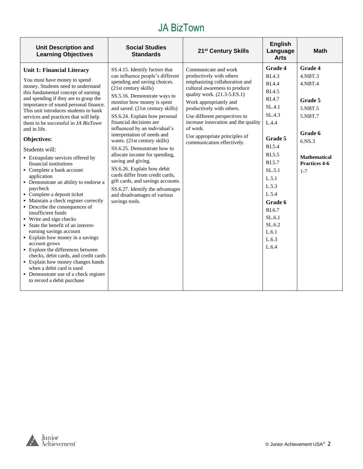| <b>Unit Description and</b><br><b>Learning Objectives</b>                                                                                                                                                                                                                                                                                                                                                                                                                                                                                                                                                                                                                                                                                                                                                                                                                                                                                                                                                                                                                           | <b>Social Studies</b><br><b>Standards</b>                                                                                                                                                                                                                                                                                                                                                                                                                                                                                                                                                                                                                                   | 21 <sup>st</sup> Century Skills                                                                                                                                                                                                                                                                                                                             | <b>English</b><br>Language<br><b>Arts</b>                                                                                                                                                                                            | <b>Math</b>                                                                                                                                               |
|-------------------------------------------------------------------------------------------------------------------------------------------------------------------------------------------------------------------------------------------------------------------------------------------------------------------------------------------------------------------------------------------------------------------------------------------------------------------------------------------------------------------------------------------------------------------------------------------------------------------------------------------------------------------------------------------------------------------------------------------------------------------------------------------------------------------------------------------------------------------------------------------------------------------------------------------------------------------------------------------------------------------------------------------------------------------------------------|-----------------------------------------------------------------------------------------------------------------------------------------------------------------------------------------------------------------------------------------------------------------------------------------------------------------------------------------------------------------------------------------------------------------------------------------------------------------------------------------------------------------------------------------------------------------------------------------------------------------------------------------------------------------------------|-------------------------------------------------------------------------------------------------------------------------------------------------------------------------------------------------------------------------------------------------------------------------------------------------------------------------------------------------------------|--------------------------------------------------------------------------------------------------------------------------------------------------------------------------------------------------------------------------------------|-----------------------------------------------------------------------------------------------------------------------------------------------------------|
| <b>Unit 1: Financial Literacy</b><br>You must have money to spend<br>money. Students need to understand<br>this fundamental concept of earning<br>and spending if they are to grasp the<br>importance of sound personal finance.<br>This unit introduces students to bank<br>services and practices that will help<br>them to be successful in JA BizTown<br>and in life.<br>Objectives:<br>Students will:<br>• Extrapolate services offered by<br>financial institutions<br>• Complete a bank account<br>application<br>• Demonstrate an ability to endorse a<br>paycheck<br>• Complete a deposit ticket<br>• Maintain a check register correctly<br>• Describe the consequences of<br>insufficient funds<br>• Write and sign checks<br>• State the benefit of an interest-<br>earning savings account<br>• Explain how money in a savings<br>account grows<br>• Explore the differences between<br>checks, debit cards, and credit cards<br>• Explain how money changes hands<br>when a debit card is used<br>• Demonstrate use of a check register<br>to record a debit purchase | SS.4.15. Identify factors that<br>can influence people's different<br>spending and saving choices.<br>(21st century skills)<br>SS.5.16. Demonstrate ways to<br>monitor how money is spent<br>and saved. (21st century skills)<br>SS.6.24. Explain how personal<br>financial decisions are<br>influenced by an individual's<br>interpretation of needs and<br>wants. (21st century skills)<br>SS.6.25. Demonstrate how to<br>allocate income for spending,<br>saving and giving.<br>SS.6.26. Explain how debit<br>cards differ from credit cards.<br>gift cards, and savings accounts.<br>SS.6.27. Identify the advantages<br>and disadvantages of various<br>savings tools. | Communicate and work<br>productively with others<br>emphasizing collaboration and<br>cultural awareness to produce<br>quality work. (21.3-5.ES.1)<br>Work appropriately and<br>productively with others.<br>Use different perspectives to<br>increase innovation and the quality<br>of work.<br>Use appropriate principles of<br>communication effectively. | <b>Grade 4</b><br>RIA.3<br>RI.4.4<br>RI.4.5<br>RI.4.7<br>SL.4.1<br>SL.4.3<br>L.4.4<br>Grade 5<br>RI.5.4<br>RI.5.5<br>RI.5.7<br>SL.5.1<br>L.5.1<br>L.5.3<br>L.5.4<br>Grade 6<br>RI.6.7<br>SL.6.1<br>SL.6.2<br>L.6.1<br>L.6.3<br>L.6.4 | <b>Grade 4</b><br>$4.$ NBT $.3$<br>$4.$ NBT $.4$<br>Grade 5<br>5.NBT.5<br>5.NBT.7<br>Grade 6<br>6.NS.3<br><b>Mathematical</b><br>Practices 4-6<br>$1 - 7$ |

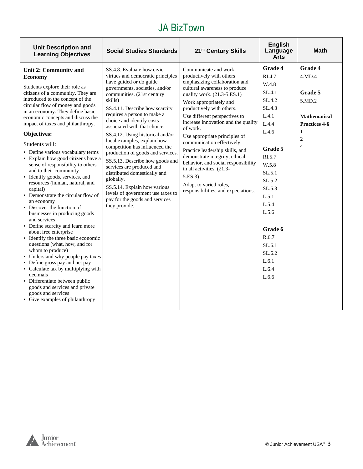| <b>Unit Description and</b><br><b>Learning Objectives</b>                                                                                                                                                                                                                                                                                                                                                                                                                                                                                                                                                                                                                                                                                                                                                                                                                                                                                                                                                                                                                                                                      | <b>Social Studies Standards</b>                                                                                                                                                                                                                                                                                                                                                                                                                                                                                                                                                                                                                                         | 21 <sup>st</sup> Century Skills                                                                                                                                                                                                                                                                                                                                                                                                                                                                                                                                                 | <b>English</b><br>Language<br><b>Arts</b>                                                                                                                                                                                                     | <b>Math</b>                                                                                                             |
|--------------------------------------------------------------------------------------------------------------------------------------------------------------------------------------------------------------------------------------------------------------------------------------------------------------------------------------------------------------------------------------------------------------------------------------------------------------------------------------------------------------------------------------------------------------------------------------------------------------------------------------------------------------------------------------------------------------------------------------------------------------------------------------------------------------------------------------------------------------------------------------------------------------------------------------------------------------------------------------------------------------------------------------------------------------------------------------------------------------------------------|-------------------------------------------------------------------------------------------------------------------------------------------------------------------------------------------------------------------------------------------------------------------------------------------------------------------------------------------------------------------------------------------------------------------------------------------------------------------------------------------------------------------------------------------------------------------------------------------------------------------------------------------------------------------------|---------------------------------------------------------------------------------------------------------------------------------------------------------------------------------------------------------------------------------------------------------------------------------------------------------------------------------------------------------------------------------------------------------------------------------------------------------------------------------------------------------------------------------------------------------------------------------|-----------------------------------------------------------------------------------------------------------------------------------------------------------------------------------------------------------------------------------------------|-------------------------------------------------------------------------------------------------------------------------|
| Unit 2: Community and<br><b>Economy</b><br>Students explore their role as<br>citizens of a community. They are<br>introduced to the concept of the<br>skills)<br>circular flow of money and goods<br>in an economy. They define basic<br>economic concepts and discuss the<br>impact of taxes and philanthropy.<br>Objectives:<br>Students will:<br>• Define various vocabulary terms<br>• Explain how good citizens have a<br>sense of responsibility to others<br>and to their community<br>• Identify goods, services, and<br>resources (human, natural, and<br>capital)<br>• Demonstrate the circular flow of<br>an economy<br>• Discover the function of<br>businesses in producing goods<br>and services<br>• Define scarcity and learn more<br>about free enterprise<br>• Identify the three basic economic<br>questions (what, how, and for<br>whom to produce)<br>• Understand why people pay taxes<br>• Define gross pay and net pay<br>• Calculate tax by multiplying with<br>decimals<br>• Differentiate between public<br>goods and services and private<br>goods and services<br>• Give examples of philanthropy | SS.4.8. Evaluate how civic<br>virtues and democratic principles<br>have guided or do guide<br>governments, societies, and/or<br>communities. (21st century<br>SS.4.11. Describe how scarcity<br>requires a person to make a<br>choice and identify costs<br>associated with that choice.<br>SS.4.12. Using historical and/or<br>local examples, explain how<br>competition has influenced the<br>production of goods and services.<br>SS.5.13. Describe how goods and<br>services are produced and<br>distributed domestically and<br>globally.<br>SS.5.14. Explain how various<br>levels of government use taxes to<br>pay for the goods and services<br>they provide. | Communicate and work<br>productively with others<br>emphasizing collaboration and<br>cultural awareness to produce<br>quality work. (21.3-5.ES.1)<br>Work appropriately and<br>productively with others.<br>Use different perspectives to<br>increase innovation and the quality<br>of work.<br>Use appropriate principles of<br>communication effectively.<br>Practice leadership skills, and<br>demonstrate integrity, ethical<br>behavior, and social responsibility<br>in all activities. (21.3-<br>5.ES.3<br>Adapt to varied roles,<br>responsibilities, and expectations. | Grade 4<br>RI.4.7<br>W.4.8<br>SL.4.1<br>SL.4.2<br>SL.4.3<br>L.4.1<br>L.4.4<br>L.4.6<br>Grade 5<br>RI.5.7<br>W.5.8<br>SL.5.1<br>SL.5.2<br>SL.5.3<br>L.5.1<br>L.5.4<br>L.5.6<br>Grade 6<br>R.6.7<br>SL.6.1<br>SL.6.2<br>L.6.1<br>L.6.4<br>L.6.6 | Grade 4<br>4.MD.4<br>Grade 5<br>5.MD.2<br><b>Mathematical</b><br>Practices 4-6<br>1<br>$\overline{c}$<br>$\overline{4}$ |

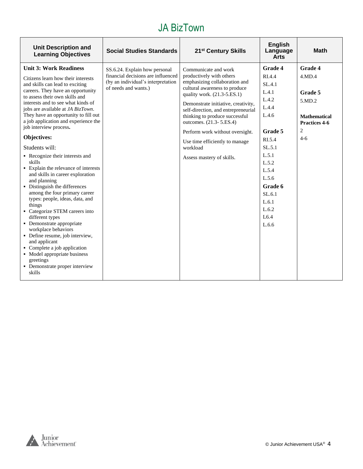| <b>Unit Description and</b><br><b>Learning Objectives</b>                                                                                                                                                                                                                                                                                                                                                                                                                                                                                                                                                                                                                                                                                                                                                                                                                                                                               | <b>Social Studies Standards</b>                                                                                                   | 21 <sup>st</sup> Century Skills                                                                                                                                                                                                                                                                                                                                                                            | English<br>Language<br><b>Arts</b>                                                                                                                                                                            | <b>Math</b>                                                                                           |
|-----------------------------------------------------------------------------------------------------------------------------------------------------------------------------------------------------------------------------------------------------------------------------------------------------------------------------------------------------------------------------------------------------------------------------------------------------------------------------------------------------------------------------------------------------------------------------------------------------------------------------------------------------------------------------------------------------------------------------------------------------------------------------------------------------------------------------------------------------------------------------------------------------------------------------------------|-----------------------------------------------------------------------------------------------------------------------------------|------------------------------------------------------------------------------------------------------------------------------------------------------------------------------------------------------------------------------------------------------------------------------------------------------------------------------------------------------------------------------------------------------------|---------------------------------------------------------------------------------------------------------------------------------------------------------------------------------------------------------------|-------------------------------------------------------------------------------------------------------|
| <b>Unit 3: Work Readiness</b><br>Citizens learn how their interests<br>and skills can lead to exciting<br>careers. They have an opportunity<br>to assess their own skills and<br>interests and to see what kinds of<br>jobs are available at JA BizTown.<br>They have an opportunity to fill out<br>a job application and experience the<br>job interview process.<br>Objectives:<br>Students will:<br>• Recognize their interests and<br>skills<br>• Explain the relevance of interests<br>and skills in career exploration<br>and planning<br>• Distinguish the differences<br>among the four primary career<br>types: people, ideas, data, and<br>things<br>• Categorize STEM careers into<br>different types<br>• Demonstrate appropriate<br>workplace behaviors<br>• Define resume, job interview,<br>and applicant<br>• Complete a job application<br>• Model appropriate business<br>greetings<br>• Demonstrate proper interview | SS.6.24. Explain how personal<br>financial decisions are influenced<br>(by an individual's interpretation<br>of needs and wants.) | Communicate and work<br>productively with others<br>emphasizing collaboration and<br>cultural awareness to produce<br>quality work. (21.3-5.ES.1)<br>Demonstrate initiative, creativity,<br>self-direction, and entrepreneurial<br>thinking to produce successful<br>outcomes. (21.3-5.ES.4)<br>Perform work without oversight.<br>Use time efficiently to manage<br>workload<br>Assess mastery of skills. | <b>Grade 4</b><br>RI.4.4<br>SL.4.1<br>L.4.1<br>L.4.2<br>L.4.4<br>L.4.6<br>Grade 5<br>RI.5.4<br>SL.5.1<br>L.5.1<br>L.5.2<br>L.5.4<br>L.5.6<br>Grade 6<br>SL.6.1<br>L.6.1<br>L.6.2<br>L <sub>6.4</sub><br>L.6.6 | <b>Grade 4</b><br>4.MD.4<br>Grade 5<br>5.MD.2<br><b>Mathematical</b><br>Practices 4-6<br>2<br>$4 - 6$ |
| skills                                                                                                                                                                                                                                                                                                                                                                                                                                                                                                                                                                                                                                                                                                                                                                                                                                                                                                                                  |                                                                                                                                   |                                                                                                                                                                                                                                                                                                                                                                                                            |                                                                                                                                                                                                               |                                                                                                       |

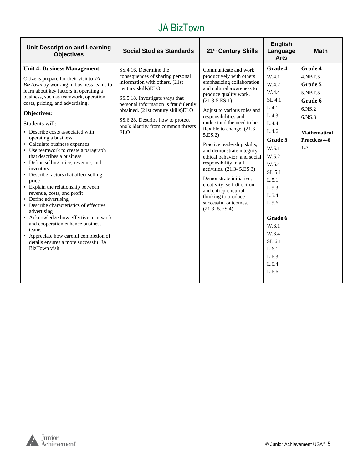| <b>Unit Description and Learning</b><br><b>Objectives</b>                                                                                                                                                                                                                                                                                                                                                                                                                                                                                                                                                                                                                                                                                                                                                                                                                                                      | <b>Social Studies Standards</b>                                                                                                                                                                                                                                                                                            | 21 <sup>st</sup> Century Skills                                                                                                                                                                                                                                                                                                                                                                                                                                                                                                                                                              | <b>English</b><br>Language<br><b>Arts</b>                                                                                                                                                                                                              | <b>Math</b>                                                                                                                       |
|----------------------------------------------------------------------------------------------------------------------------------------------------------------------------------------------------------------------------------------------------------------------------------------------------------------------------------------------------------------------------------------------------------------------------------------------------------------------------------------------------------------------------------------------------------------------------------------------------------------------------------------------------------------------------------------------------------------------------------------------------------------------------------------------------------------------------------------------------------------------------------------------------------------|----------------------------------------------------------------------------------------------------------------------------------------------------------------------------------------------------------------------------------------------------------------------------------------------------------------------------|----------------------------------------------------------------------------------------------------------------------------------------------------------------------------------------------------------------------------------------------------------------------------------------------------------------------------------------------------------------------------------------------------------------------------------------------------------------------------------------------------------------------------------------------------------------------------------------------|--------------------------------------------------------------------------------------------------------------------------------------------------------------------------------------------------------------------------------------------------------|-----------------------------------------------------------------------------------------------------------------------------------|
| <b>Unit 4: Business Management</b><br>Citizens prepare for their visit to JA<br>BizTown by working in business teams to<br>learn about key factors in operating a<br>business, such as teamwork, operation<br>costs, pricing, and advertising.<br>Objectives:<br>Students will:<br>• Describe costs associated with<br>operating a business<br>• Calculate business expenses<br>• Use teamwork to create a paragraph<br>that describes a business<br>• Define selling price, revenue, and<br>inventory<br>• Describe factors that affect selling<br>price<br>• Explain the relationship between<br>revenue, costs, and profit<br>• Define advertising<br>• Describe characteristics of effective<br>advertising<br>• Acknowledge how effective teamwork<br>and cooperation enhance business<br>teams<br>• Appreciate how careful completion of<br>details ensures a more successful JA<br><b>BizTown</b> visit | SS.4.16. Determine the<br>consequences of sharing personal<br>information with others. (21st<br>century skills)ELO<br>SS.5.18. Investigate ways that<br>personal information is fraudulently<br>obtained. (21st century skills)ELO<br>SS.6.28. Describe how to protect<br>one's identity from common threats<br><b>ELO</b> | Communicate and work<br>productively with others<br>emphasizing collaboration<br>and cultural awareness to<br>produce quality work.<br>$(21.3 - 5.ES.1)$<br>Adjust to various roles and<br>responsibilities and<br>understand the need to be<br>flexible to change. (21.3-<br>5.ES.2<br>Practice leadership skills,<br>and demonstrate integrity,<br>ethical behavior, and social<br>responsibility in all<br>activities. (21.3-5.ES.3)<br>Demonstrate initiative,<br>creativity, self-direction,<br>and entrepreneurial<br>thinking to produce<br>successful outcomes.<br>$(21.3 - 5.ES.4)$ | <b>Grade 4</b><br>W.4.1<br>W.4.2<br>W.4.4<br>SL.4.1<br>L.4.1<br>L.4.3<br>L.4.4<br>L.4.6<br>Grade 5<br>W.5.1<br>W.5.2<br>W.5.4<br>SL.5.1<br>L.5.1<br>L.5.3<br>L.5.4<br>L.5.6<br>Grade 6<br>W.6.1<br>W.6.4<br>SL.6.1<br>L.6.1<br>L.6.3<br>L.6.4<br>L.6.6 | <b>Grade 4</b><br>4.NBT.5<br>Grade 5<br>5.NBT.5<br>Grade 6<br>6.NS.2<br>6.NS.3<br><b>Mathematical</b><br>Practices 4-6<br>$1 - 7$ |

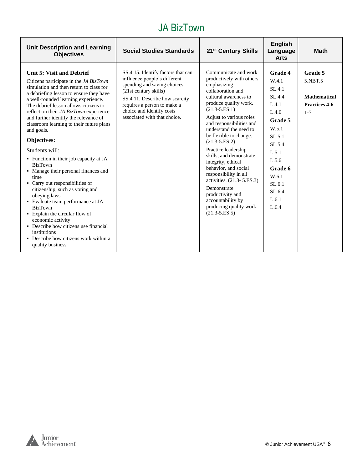| <b>Unit Description and Learning</b><br><b>Objectives</b>                                                                                                                                                                                                                                                                                                                                                                                                                                                                                                                                                                                                                                                                                                                                                                                                     | <b>Social Studies Standards</b>                                                                                                                                                                                                                           | 21 <sup>st</sup> Century Skills                                                                                                                                                                                                                                                                                                                                                                                                                                                                                                                            | <b>English</b><br>Language<br><b>Arts</b>                                                                                                                                  | <b>Math</b>                                                           |
|---------------------------------------------------------------------------------------------------------------------------------------------------------------------------------------------------------------------------------------------------------------------------------------------------------------------------------------------------------------------------------------------------------------------------------------------------------------------------------------------------------------------------------------------------------------------------------------------------------------------------------------------------------------------------------------------------------------------------------------------------------------------------------------------------------------------------------------------------------------|-----------------------------------------------------------------------------------------------------------------------------------------------------------------------------------------------------------------------------------------------------------|------------------------------------------------------------------------------------------------------------------------------------------------------------------------------------------------------------------------------------------------------------------------------------------------------------------------------------------------------------------------------------------------------------------------------------------------------------------------------------------------------------------------------------------------------------|----------------------------------------------------------------------------------------------------------------------------------------------------------------------------|-----------------------------------------------------------------------|
| Unit 5: Visit and Debrief<br>Citizens participate in the JA BizTown<br>simulation and then return to class for<br>a debriefing lesson to ensure they have<br>a well-rounded learning experience.<br>The debrief lesson allows citizens to<br>reflect on their JA BizTown experience<br>and further identify the relevance of<br>classroom learning to their future plans<br>and goals.<br>Objectives:<br>Students will:<br>• Function in their job capacity at JA<br><b>BizTown</b><br>• Manage their personal finances and<br>time<br>• Carry out responsibilities of<br>citizenship, such as voting and<br>obeying laws<br>• Evaluate team performance at JA<br><b>BizTown</b><br>• Explain the circular flow of<br>economic activity<br>• Describe how citizens use financial<br>institutions<br>• Describe how citizens work within a<br>quality business | SS.4.15. Identify factors that can<br>influence people's different<br>spending and saving choices.<br>(21st century skills)<br>SS.4.11. Describe how scarcity<br>requires a person to make a<br>choice and identify costs<br>associated with that choice. | Communicate and work<br>productively with others<br>emphasizing<br>collaboration and<br>cultural awareness to<br>produce quality work.<br>$(21.3 - 5.ES.1)$<br>Adjust to various roles<br>and responsibilities and<br>understand the need to<br>be flexible to change.<br>$(21.3 - 5.ES.2)$<br>Practice leadership<br>skills, and demonstrate<br>integrity, ethical<br>behavior, and social<br>responsibility in all<br>activities. (21.3-5.ES.3)<br>Demonstrate<br>productivity and<br>accountability by<br>producing quality work.<br>$(21.3 - 5.E.S.5)$ | Grade 4<br>W.4.1<br>SL.4.1<br>SL.4.4<br>L.4.1<br>L.4.6<br>Grade 5<br>W.5.1<br>SL.5.1<br>SL.5.4<br>L.5.1<br>L.5.6<br>Grade 6<br>W.6.1<br>SL.6.1<br>SL.6.4<br>L.6.1<br>L.6.4 | Grade 5<br>5.NBT.5<br><b>Mathematical</b><br>Practices 4-6<br>$1 - 7$ |

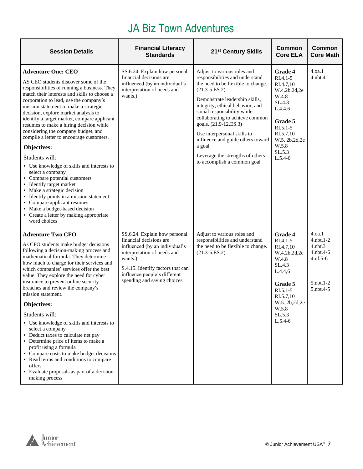# JA Biz Town Adventures

| <b>Session Details</b>                                                                                                                                                                                                                                                                                                                                                                                                                                                                                                                                                                                                                                                                                                                                                                                                                           | <b>Financial Literacy</b><br><b>Standards</b>                                                                                                                                                                                             | 21 <sup>st</sup> Century Skills                                                                                                                                                                                                                                                                                                                                                                                                             | Common<br><b>Core ELA</b>                                                                                                                                                        | <b>Common</b><br><b>Core Math</b>                                                                           |
|--------------------------------------------------------------------------------------------------------------------------------------------------------------------------------------------------------------------------------------------------------------------------------------------------------------------------------------------------------------------------------------------------------------------------------------------------------------------------------------------------------------------------------------------------------------------------------------------------------------------------------------------------------------------------------------------------------------------------------------------------------------------------------------------------------------------------------------------------|-------------------------------------------------------------------------------------------------------------------------------------------------------------------------------------------------------------------------------------------|---------------------------------------------------------------------------------------------------------------------------------------------------------------------------------------------------------------------------------------------------------------------------------------------------------------------------------------------------------------------------------------------------------------------------------------------|----------------------------------------------------------------------------------------------------------------------------------------------------------------------------------|-------------------------------------------------------------------------------------------------------------|
| <b>Adventure One: CEO</b><br>AS CEO students discover some of the<br>responsibilities of running a business. They<br>match their interests and skills to choose a<br>corporation to lead, use the company's<br>mission statement to make a strategic<br>decision, explore market analysis to<br>identify a target market, compare applicant<br>resumes to make a hiring decision while<br>considering the company budget, and<br>compile a letter to encourage customers.<br>Objectives:<br>Students will:<br>• Use knowledge of skills and interests to<br>select a company<br>• Compare potential customers<br>• Identify target market<br>• Make a strategic decision<br>• Identify points in a mission statement<br>• Compare applicant resumes<br>• Make a budget-based decision<br>• Create a letter by making appropriate<br>word choices | SS.6.24. Explain how personal<br>financial decisions are<br>influenced (by an individual's<br>interpretation of needs and<br>wants.)                                                                                                      | Adjust to various roles and<br>responsibilities and understand<br>the need to be flexible to change.<br>$(21.3 - 5.ES.2)$<br>Demonstrate leadership skills,<br>integrity, ethical behavior, and<br>social responsibility while<br>collaborating to achieve common<br>goals. (21.9-12.ES.3)<br>Use interpersonal skills to<br>influence and guide others toward<br>a goal<br>Leverage the strengths of others<br>to accomplish a common goal | Grade 4<br>RI.4.1-5<br>RI.4.7,10<br>W.4.2b,2d,2e<br>W.4.8<br>SL.4.3<br>L.4.4,6<br>Grade 5<br>$RI.5.1-5$<br>RI.5.7,10<br>W.5. 2b, 2d, 2e<br>W.5.8<br>SL.5.3<br>$L.5.4-6$          | 4.oa.1<br>4.nbt.4                                                                                           |
| <b>Adventure Two CFO</b><br>As CFO students make budget decisions<br>following a decision-making process and<br>mathematical formula. They determine<br>how much to charge for their services and<br>which companies' services offer the best<br>value. They explore the need for cyber<br>insurance to prevent online security<br>breaches and review the company's<br>mission statement.<br>Objectives:<br>Students will:<br>• Use knowledge of skills and interests to<br>select a company<br>• Deduct taxes to calculate net pay<br>• Determine price of items to make a<br>profit using a formula<br>• Compare costs to make budget decisions<br>• Read terms and conditions to compare<br>offers<br>• Evaluate proposals as part of a decision-<br>making process                                                                          | SS.6.24. Explain how personal<br>financial decisions are<br>influenced (by an individual's<br>interpretation of needs and<br>wants.)<br>S.4.15. Identify factors that can<br>influence people's different<br>spending and saving choices. | Adjust to various roles and<br>responsibilities and understand<br>the need to be flexible to change.<br>$(21.3 - 5.ES.2)$                                                                                                                                                                                                                                                                                                                   | <b>Grade 4</b><br>$RI.4.1-5$<br>RI.4.7,10<br>W.4.2b,2d,2e<br>W.4.8<br>SL.4.3<br>L.4.4,6<br>Grade 5<br>$RI.5.1-5$<br>RI.5.7,10<br>W.5. 2b, 2d, 2e<br>W.5.8<br>SL.5.3<br>$L.5.4-6$ | 4.0a.1<br>$4.$ nbt. $1-2$<br>$4.$ nbt. $3$<br>$4.$ nbt. $4-6$<br>$4.nf.5-6$<br>$5.$ nbt. $1-2$<br>5.nbt.4-5 |

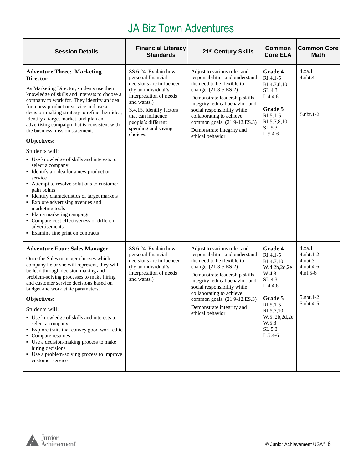# JA Biz Town Adventures

| <b>Session Details</b>                                                                                                                                                                                                                                                                                                                                                                                                                                                                                                                                                                                                                                                                                                                                                                                                                                                                    | <b>Financial Literacy</b><br><b>Standards</b>                                                                                                                                                                                                      | 21 <sup>st</sup> Century Skills                                                                                                                                                                                                                                                                                                         | Common<br><b>Core ELA</b>                                                                                                                                                        | <b>Common Core</b><br><b>Math</b>                                                                           |
|-------------------------------------------------------------------------------------------------------------------------------------------------------------------------------------------------------------------------------------------------------------------------------------------------------------------------------------------------------------------------------------------------------------------------------------------------------------------------------------------------------------------------------------------------------------------------------------------------------------------------------------------------------------------------------------------------------------------------------------------------------------------------------------------------------------------------------------------------------------------------------------------|----------------------------------------------------------------------------------------------------------------------------------------------------------------------------------------------------------------------------------------------------|-----------------------------------------------------------------------------------------------------------------------------------------------------------------------------------------------------------------------------------------------------------------------------------------------------------------------------------------|----------------------------------------------------------------------------------------------------------------------------------------------------------------------------------|-------------------------------------------------------------------------------------------------------------|
| <b>Adventure Three: Marketing</b><br><b>Director</b><br>As Marketing Director, students use their<br>knowledge of skills and interests to choose a<br>company to work for. They identify an idea<br>for a new product or service and use a<br>decision-making strategy to refine their idea,<br>identify a target market, and plan an<br>advertising campaign that is consistent with<br>the business mission statement.<br>Objectives:<br>Students will:<br>• Use knowledge of skills and interests to<br>select a company<br>• Identify an idea for a new product or<br>service<br>• Attempt to resolve solutions to customer<br>pain points<br>• Identify characteristics of target markets<br>• Explore advertising avenues and<br>marketing tools<br>• Plan a marketing campaign<br>• Compare cost effectiveness of different<br>advertisements<br>• Examine fine print on contracts | SS.6.24. Explain how<br>personal financial<br>decisions are influenced<br>(by an individual's<br>interpretation of needs<br>and wants.)<br>S.4.15. Identify factors<br>that can influence<br>people's different<br>spending and saving<br>choices. | Adjust to various roles and<br>responsibilities and understand<br>the need to be flexible to<br>change. (21.3-5.ES.2)<br>Demonstrate leadership skills,<br>integrity, ethical behavior, and<br>social responsibility while<br>collaborating to achieve<br>common goals. (21.9-12.ES.3)<br>Demonstrate integrity and<br>ethical behavior | Grade 4<br>RI.4.1-5<br>RI.4.7,8,10<br>SL.4.3<br>L.4.4,6<br>Grade 5<br>$RI.5.1 - 5$<br>RI.5.7,8,10<br>SL.5.3<br>$L.5.4-6$                                                         | 4.0a.1<br>$4.$ nbt. $4$<br>5.nbt.1-2                                                                        |
| <b>Adventure Four: Sales Manager</b><br>Once the Sales manager chooses which<br>company he or she will represent, they will<br>be lead through decision making and<br>problem-solving processes to make hiring<br>and customer service decisions based on<br>budget and work ethic parameters.<br>Objectives:<br>Students will:<br>• Use knowledge of skills and interests to<br>select a company<br>Explore traits that convey good work ethic<br>• Compare resumes<br>• Use a decision-making process to make<br>hiring decisions<br>• Use a problem-solving process to improve<br>customer service                                                                                                                                                                                                                                                                                     | SS.6.24. Explain how<br>personal financial<br>decisions are influenced<br>(by an individual's<br>interpretation of needs<br>and wants.)                                                                                                            | Adjust to various roles and<br>responsibilities and understand<br>the need to be flexible to<br>change. (21.3-5.ES.2)<br>Demonstrate leadership skills,<br>integrity, ethical behavior, and<br>social responsibility while<br>collaborating to achieve<br>common goals. (21.9-12.ES.3)<br>Demonstrate integrity and<br>ethical behavior | <b>Grade 4</b><br>$RI.4.1 - 5$<br>RI.4.7,10<br>W.4.2b,2d,2e<br>W.4.8<br>SL.4.3<br>L.4.4,6<br>Grade 5<br>RI.5.1-5<br>RI.5.7,10<br>W.5. 2b, 2d, 2e<br>W.5.8<br>SL.5.3<br>$L.5.4-6$ | 4.0a.1<br>$4.$ nbt. $1-2$<br>$4.$ nbt $.3$<br>$4.$ nbt. $4-6$<br>$4.nf.5-6$<br>$5.$ nbt. $1-2$<br>5.nbt.4-5 |

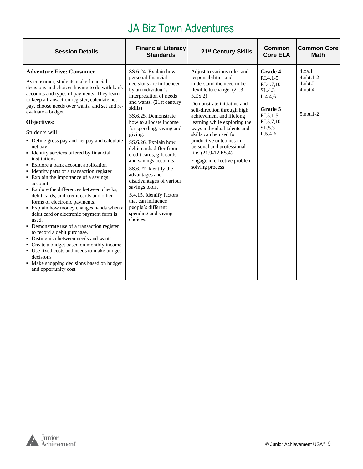# JA Biz Town Adventures

| <b>Session Details</b>                                                                                                                                                                                                                                                                                                                                                                                                                                                                                                                                                                                                                                                                                                                                                                                                                                                                                                                                                                                                                                                                                                         | <b>Financial Literacy</b><br><b>Standards</b>                                                                                                                                                                                                                                                                                                                                                                                                                                                                                                                        | 21 <sup>st</sup> Century Skills                                                                                                                                                                                                                                                                                                                                                                                                              | Common<br><b>Core ELA</b>                                                                                                       | <b>Common Core</b><br><b>Math</b>                                          |
|--------------------------------------------------------------------------------------------------------------------------------------------------------------------------------------------------------------------------------------------------------------------------------------------------------------------------------------------------------------------------------------------------------------------------------------------------------------------------------------------------------------------------------------------------------------------------------------------------------------------------------------------------------------------------------------------------------------------------------------------------------------------------------------------------------------------------------------------------------------------------------------------------------------------------------------------------------------------------------------------------------------------------------------------------------------------------------------------------------------------------------|----------------------------------------------------------------------------------------------------------------------------------------------------------------------------------------------------------------------------------------------------------------------------------------------------------------------------------------------------------------------------------------------------------------------------------------------------------------------------------------------------------------------------------------------------------------------|----------------------------------------------------------------------------------------------------------------------------------------------------------------------------------------------------------------------------------------------------------------------------------------------------------------------------------------------------------------------------------------------------------------------------------------------|---------------------------------------------------------------------------------------------------------------------------------|----------------------------------------------------------------------------|
| <b>Adventure Five: Consumer</b><br>As consumer, students make financial<br>decisions and choices having to do with bank<br>accounts and types of payments. They learn<br>to keep a transaction register, calculate net<br>pay, choose needs over wants, and set and re-<br>evaluate a budget.<br>Objectives:<br>Students will:<br>• Define gross pay and net pay and calculate<br>net pay<br>• Identify services offered by financial<br>institutions.<br>• Explore a bank account application<br>• Identify parts of a transaction register<br>• Explain the importance of a savings<br>account<br>• Explore the differences between checks,<br>debit cards, and credit cards and other<br>forms of electronic payments.<br>• Explain how money changes hands when a<br>debit card or electronic payment form is<br>used.<br>• Demonstrate use of a transaction register<br>to record a debit purchase.<br>• Distinguish between needs and wants<br>• Create a budget based on monthly income<br>• Use fixed costs and needs to make budget<br>decisions<br>• Make shopping decisions based on budget<br>and opportunity cost | SS.6.24. Explain how<br>personal financial<br>decisions are influenced<br>by an individual's<br>interpretation of needs<br>and wants. (21st century<br>skills)<br>SS.6.25. Demonstrate<br>how to allocate income<br>for spending, saving and<br>giving.<br>SS.6.26. Explain how<br>debit cards differ from<br>credit cards, gift cards,<br>and savings accounts.<br>SS.6.27. Identify the<br>advantages and<br>disadvantages of various<br>savings tools.<br>S.4.15. Identify factors<br>that can influence<br>people's different<br>spending and saving<br>choices. | Adjust to various roles and<br>responsibilities and<br>understand the need to be<br>flexible to change. (21.3-<br>5.ES.2<br>Demonstrate initiative and<br>self-direction through high<br>achievement and lifelong<br>learning while exploring the<br>ways individual talents and<br>skills can be used for<br>productive outcomes in<br>personal and professional<br>life. (21.9-12.ES.4)<br>Engage in effective problem-<br>solving process | <b>Grade 4</b><br>$RI.4.1 - 5$<br>RI.4.7,10<br>SL.4.3<br>L.4.4,6<br>Grade 5<br>$RI.5.1 - 5$<br>RI.5.7,10<br>SL.5.3<br>$L.5.4-6$ | 4.0a.1<br>$4.$ nbt. 1-2<br>$4.$ n $bt.3$<br>$4.$ nbt. $4$<br>$5.$ nbt. 1-2 |

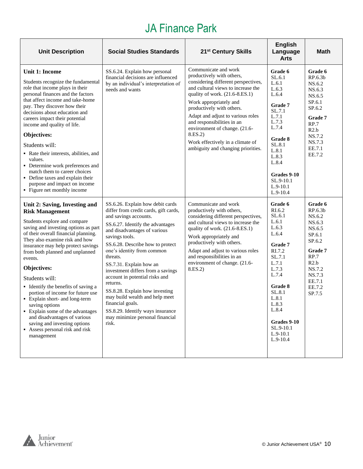# JA Finance Park

| <b>Unit Description</b>                                                                                                                                                                                                                                                                                                                                                                                                                                                                                                                                                                                          | <b>Social Studies Standards</b>                                                                                                                                                                                                                                                                                                                                                                                                                                                                                                                              | 21 <sup>st</sup> Century Skills                                                                                                                                                                                                                                                                                                                                                                                  | <b>English</b><br>Language<br><b>Arts</b>                                                                                                                                                                                | <b>Math</b>                                                                                                                                                          |
|------------------------------------------------------------------------------------------------------------------------------------------------------------------------------------------------------------------------------------------------------------------------------------------------------------------------------------------------------------------------------------------------------------------------------------------------------------------------------------------------------------------------------------------------------------------------------------------------------------------|--------------------------------------------------------------------------------------------------------------------------------------------------------------------------------------------------------------------------------------------------------------------------------------------------------------------------------------------------------------------------------------------------------------------------------------------------------------------------------------------------------------------------------------------------------------|------------------------------------------------------------------------------------------------------------------------------------------------------------------------------------------------------------------------------------------------------------------------------------------------------------------------------------------------------------------------------------------------------------------|--------------------------------------------------------------------------------------------------------------------------------------------------------------------------------------------------------------------------|----------------------------------------------------------------------------------------------------------------------------------------------------------------------|
| <b>Unit 1: Income</b><br>Students recognize the fundamental<br>role that income plays in their<br>personal finances and the factors<br>that affect income and take-home<br>pay. They discover how their<br>decisions about education and<br>careers impact their potential<br>income and quality of life.<br>Objectives:<br>Students will:<br>• Rate their interests, abilities, and<br>values.<br>• Determine work preferences and<br>match them to career choices<br>• Define taxes and explain their<br>purpose and impact on income<br>• Figure net monthly income                                           | SS.6.24. Explain how personal<br>financial decisions are influenced<br>by an individual's interpretation of<br>needs and wants                                                                                                                                                                                                                                                                                                                                                                                                                               | Communicate and work<br>productively with others,<br>considering different perspectives,<br>and cultural views to increase the<br>quality of work. (21.6-8.ES.1)<br>Work appropriately and<br>productively with others.<br>Adapt and adjust to various roles<br>and responsibilities in an<br>environment of change. (21.6-<br>8.ES.2)<br>Work effectively in a climate of<br>ambiguity and changing priorities. | Grade 6<br>SL.6.1<br>L.6.1<br>L.6.3<br>L.6.4<br><b>Grade 7</b><br>SL.7.1<br>L.7.1<br>L.7.3<br>L.7.4<br>Grade 8<br>SL.8.1<br>L.8.1<br>L.8.3<br>L.8.4<br>Grades 9-10<br>SL.9-10.1<br>$L.9-10.1$<br>$L.9-10.4$              | Grade 6<br>RP.6.3b<br>NS.6.2<br>NS.6.3<br>NS.6.5<br>SP.6.1<br>SP.6.2<br>Grade 7<br>RP.7<br>R2.b<br>NS.7.2<br>NS.7.3<br>EE.7.1<br>EE.7.2                              |
| Unit 2: Saving, Investing and<br><b>Risk Management</b><br>Students explore and compare<br>saving and investing options as part<br>of their overall financial planning.<br>They also examine risk and how<br>insurance may help protect savings<br>from both planned and unplanned<br>events.<br>Objectives:<br>Students will:<br>• Identify the benefits of saving a<br>portion of income for future use<br>• Explain short- and long-term<br>saving options<br>• Explain some of the advantages<br>and disadvantages of various<br>saving and investing options<br>Assess personal risk and risk<br>management | SS.6.26. Explain how debit cards<br>differ from credit cards, gift cards,<br>and savings accounts.<br>SS.6.27. Identify the advantages<br>and disadvantages of various<br>savings tools.<br>SS.6.28. Describe how to protect<br>one's identity from common<br>threats.<br>SS.7.31. Explain how an<br>investment differs from a savings<br>account in potential risks and<br>returns.<br>SS.8.28. Explain how investing<br>may build wealth and help meet<br>financial goals.<br>SS.8.29. Identify ways insurance<br>may minimize personal financial<br>risk. | Communicate and work<br>productively with others,<br>considering different perspectives,<br>and cultural views to increase the<br>quality of work. (21.6-8.ES.1)<br>Work appropriately and<br>productively with others.<br>Adapt and adjust to various roles<br>and responsibilities in an<br>environment of change. (21.6-<br>8.ES.2)                                                                           | Grade 6<br>RI.6.2<br>SL.6.1<br>L.6.1<br>L.6.3<br>L.6.4<br>Grade 7<br>RI.7.2<br>SL.7.1<br>L.7.1<br>L.7.3<br>L.7.4<br>Grade 8<br>SL.8.1<br>L.8.1<br>L.8.3<br>L.8.4<br>Grades 9-10<br>SL.9-10.1<br>$L.9-10.1$<br>$L.9-10.4$ | Grade 6<br>RP.6.3 <sub>b</sub><br>NS.6.2<br>NS.6.3<br>NS.6.5<br>SP.6.1<br>SP.6.2<br><b>Grade 7</b><br>RP.7<br>R2.b<br>NS.7.2<br>NS.7.3<br>EE.7.1<br>EE.7.2<br>SP.7.5 |

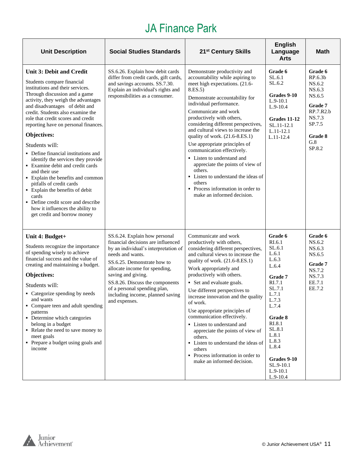# JA Finance Park

| <b>Unit Description</b>                                                                                                                                                                                                                                                                                                                                                                                                                                                                                                                                                                                                                                                                                                 | <b>Social Studies Standards</b>                                                                                                                                                                                                                                                                                                               | 21 <sup>st</sup> Century Skills                                                                                                                                                                                                                                                                                                                                                                                                                                                                                                                                                                                | <b>English</b><br>Language<br><b>Arts</b>                                                                                                                                                                                          | <b>Math</b>                                                                                                              |
|-------------------------------------------------------------------------------------------------------------------------------------------------------------------------------------------------------------------------------------------------------------------------------------------------------------------------------------------------------------------------------------------------------------------------------------------------------------------------------------------------------------------------------------------------------------------------------------------------------------------------------------------------------------------------------------------------------------------------|-----------------------------------------------------------------------------------------------------------------------------------------------------------------------------------------------------------------------------------------------------------------------------------------------------------------------------------------------|----------------------------------------------------------------------------------------------------------------------------------------------------------------------------------------------------------------------------------------------------------------------------------------------------------------------------------------------------------------------------------------------------------------------------------------------------------------------------------------------------------------------------------------------------------------------------------------------------------------|------------------------------------------------------------------------------------------------------------------------------------------------------------------------------------------------------------------------------------|--------------------------------------------------------------------------------------------------------------------------|
| <b>Unit 3: Debit and Credit</b><br>Students compare financial<br>institutions and their services.<br>Through discussion and a game<br>activity, they weigh the advantages<br>and disadvantages of debit and<br>credit. Students also examine the<br>role that credit scores and credit<br>reporting have on personal finances.<br>Objectives:<br>Students will:<br>• Define financial institutions and<br>identify the services they provide<br>• Examine debit and credit cards<br>and their use<br>• Explain the benefits and common<br>pitfalls of credit cards<br>• Explain the benefits of debit<br>cards<br>• Define credit score and describe<br>how it influences the ability to<br>get credit and borrow money | SS.6.26. Explain how debit cards<br>differ from credit cards, gift cards,<br>and savings accounts. SS.7.30.<br>Explain an individual's rights and<br>responsibilities as a consumer.                                                                                                                                                          | Demonstrate productivity and<br>accountability while aspiring to<br>meet high expectations. (21.6-<br>8.ES.5)<br>Demonstrate accountability for<br>individual performance.<br>Communicate and work<br>productively with others,<br>considering different perspectives,<br>and cultural views to increase the<br>quality of work. (21.6-8.ES.1)<br>Use appropriate principles of<br>communication effectively.<br>• Listen to understand and<br>appreciate the points of view of<br>others.<br>• Listen to understand the ideas of<br>others<br>• Process information in order to<br>make an informed decision. | Grade 6<br>SL.6.1<br>SL.6.2<br>Grades 9-10<br>$L.9-10.1$<br>$L.9-10.4$<br>Grades 11-12<br>SL.11-12.1<br>$L.11-12.1$<br>L.11-12.4                                                                                                   | Grade 6<br>RP.6.3b<br>NS.6.2<br>NS.6.3<br>NS.6.5<br>Grade 7<br>RP.7.R2.b<br>NS.7.3<br>SP.7.5<br>Grade 8<br>G.8<br>SP.8.2 |
| Unit 4: Budget+<br>Students recognize the importance<br>of spending wisely to achieve<br>financial success and the value of<br>creating and maintaining a budget.<br>Objectives:<br>Students will:<br>• Categorize spending by needs<br>and wants<br>• Compare teen and adult spending<br>patterns<br>• Determine which categories<br>belong in a budget<br>• Relate the need to save money to<br>meet goals<br>• Prepare a budget using goals and<br>income                                                                                                                                                                                                                                                            | SS.6.24. Explain how personal<br>financial decisions are influenced<br>by an individual's interpretation of<br>needs and wants.<br>SS.6.25. Demonstrate how to<br>allocate income for spending,<br>saving and giving.<br>SS.8.26. Discuss the components<br>of a personal spending plan,<br>including income, planned saving<br>and expenses. | Communicate and work<br>productively with others,<br>considering different perspectives,<br>and cultural views to increase the<br>quality of work. (21.6-8.ES.1)<br>Work appropriately and<br>productively with others.<br>• Set and evaluate goals.<br>Use different perspectives to<br>increase innovation and the quality<br>of work.<br>Use appropriate principles of<br>communication effectively.<br>• Listen to understand and<br>appreciate the points of view of<br>others.<br>• Listen to understand the ideas of<br>others<br>• Process information in order to<br>make an informed decision.       | Grade 6<br>RI.6.1<br>SL.6.1<br>L.6.1<br>L.6.3<br>L.6.4<br>Grade 7<br>RI.7.1<br>SL.7.1<br>L.7.1<br>L.7.3<br>L.7.4<br>Grade 8<br>RI.8.1<br>SL.8.1<br>L.8.1<br>L.8.3<br>L.8.4<br>Grades 9-10<br>SL.9-10.1<br>$L.9-10.1$<br>$L.9-10.4$ | Grade 6<br>NS.6.2<br>NS.6.3<br>NS.6.5<br>Grade 7<br>NS.7.2<br>NS.7.3<br>EE.7.1<br>EE.7.2                                 |

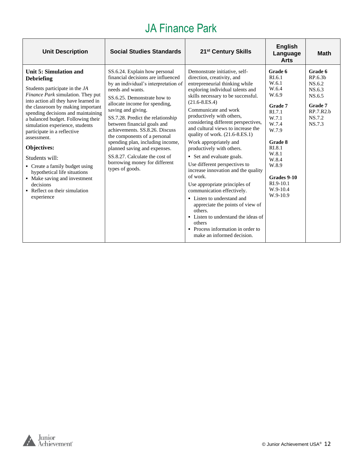# JA Finance Park

| <b>Unit Description</b>                                                                                                                                                                                                                                                                                                                                                                                                                                                                                                                                     | <b>Social Studies Standards</b>                                                                                                                                                                                                                                                                                                                                                                                                                                                                                       | 21 <sup>st</sup> Century Skills                                                                                                                                                                                                                                                                                                                                                                                                                                                                                                                                                                                                                                                                                                                                                                             | <b>English</b><br>Language<br><b>Arts</b>                                                                                                                                                        | <b>Math</b>                                                                                  |
|-------------------------------------------------------------------------------------------------------------------------------------------------------------------------------------------------------------------------------------------------------------------------------------------------------------------------------------------------------------------------------------------------------------------------------------------------------------------------------------------------------------------------------------------------------------|-----------------------------------------------------------------------------------------------------------------------------------------------------------------------------------------------------------------------------------------------------------------------------------------------------------------------------------------------------------------------------------------------------------------------------------------------------------------------------------------------------------------------|-------------------------------------------------------------------------------------------------------------------------------------------------------------------------------------------------------------------------------------------------------------------------------------------------------------------------------------------------------------------------------------------------------------------------------------------------------------------------------------------------------------------------------------------------------------------------------------------------------------------------------------------------------------------------------------------------------------------------------------------------------------------------------------------------------------|--------------------------------------------------------------------------------------------------------------------------------------------------------------------------------------------------|----------------------------------------------------------------------------------------------|
| Unit 5: Simulation and<br><b>Debriefing</b><br>Students participate in the JA<br>Finance Park simulation. They put<br>into action all they have learned in<br>the classroom by making important<br>spending decisions and maintaining<br>a balanced budget. Following their<br>simulation experience, students<br>participate in a reflective<br>assessment.<br>Objectives:<br>Students will:<br>• Create a family budget using<br>hypothetical life situations<br>• Make saving and investment<br>decisions<br>• Reflect on their simulation<br>experience | SS.6.24. Explain how personal<br>financial decisions are influenced<br>by an individual's interpretation of<br>needs and wants.<br>SS.6.25. Demonstrate how to<br>allocate income for spending,<br>saving and giving.<br>SS.7.28. Predict the relationship<br>between financial goals and<br>achievements, SS.8.26. Discuss<br>the components of a personal<br>spending plan, including income,<br>planned saving and expenses.<br>SS.8.27. Calculate the cost of<br>borrowing money for different<br>types of goods. | Demonstrate initiative, self-<br>direction, creativity, and<br>entrepreneurial thinking while<br>exploring individual talents and<br>skills necessary to be successful.<br>$(21.6 - 8.ES.4)$<br>Communicate and work<br>productively with others,<br>considering different perspectives,<br>and cultural views to increase the<br>quality of work. $(21.6-8.E.S.1)$<br>Work appropriately and<br>productively with others.<br>• Set and evaluate goals.<br>Use different perspectives to<br>increase innovation and the quality<br>of work.<br>Use appropriate principles of<br>communication effectively.<br>• Listen to understand and<br>appreciate the points of view of<br>others.<br>• Listen to understand the ideas of<br>others<br>• Process information in order to<br>make an informed decision. | Grade 6<br>RI.6.1<br>W.6.1<br>W.6.4<br>W.6.9<br>Grade 7<br>RI.7.1<br>W.7.1<br>W.7.4<br>W.7.9<br>Grade 8<br>RI.8.1<br>W.8.1<br>W.8.4<br>W.8.9<br>Grades 9-10<br>RI.9-10.1<br>W.9-10.4<br>W.9-10.9 | Grade 6<br>RP.6.3b<br>NS.6.2<br>NS.6.3<br>NS.6.5<br>Grade 7<br>RP.7.R2.b<br>NS.7.2<br>NS.7.3 |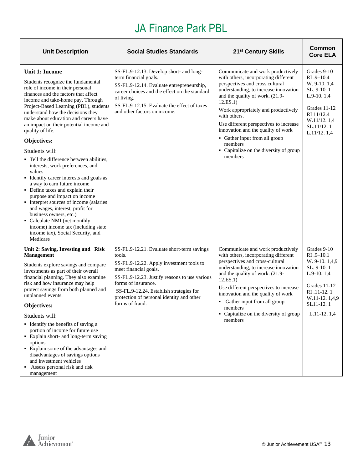# JA Finance Park PBL

| <b>Unit Description</b>                                                                                                                                                                                                                                                                                                                                                                                                                                                                                                                                                                                                                                                                                                                                                                                                                                              | <b>Social Studies Standards</b>                                                                                                                                                                                                                                                                              | 21 <sup>st</sup> Century Skills                                                                                                                                                                                                                                                                                                                                                                                                              | Common<br><b>Core ELA</b>                                                                                                                                |
|----------------------------------------------------------------------------------------------------------------------------------------------------------------------------------------------------------------------------------------------------------------------------------------------------------------------------------------------------------------------------------------------------------------------------------------------------------------------------------------------------------------------------------------------------------------------------------------------------------------------------------------------------------------------------------------------------------------------------------------------------------------------------------------------------------------------------------------------------------------------|--------------------------------------------------------------------------------------------------------------------------------------------------------------------------------------------------------------------------------------------------------------------------------------------------------------|----------------------------------------------------------------------------------------------------------------------------------------------------------------------------------------------------------------------------------------------------------------------------------------------------------------------------------------------------------------------------------------------------------------------------------------------|----------------------------------------------------------------------------------------------------------------------------------------------------------|
| Unit 1: Income<br>Students recognize the fundamental<br>role of income in their personal<br>finances and the factors that affect<br>income and take-home pay. Through<br>Project-Based Learning (PBL), students<br>understand how the decisions they<br>make about education and careers have<br>an impact on their potential income and<br>quality of life.<br>Objectives:<br>Students will:<br>• Tell the difference between abilities,<br>interests, work preferences, and<br>values<br>• Identify career interests and goals as<br>a way to earn future income<br>• Define taxes and explain their<br>purpose and impact on income<br>• Interpret sources of income (salaries<br>and wages, interest, profit for<br>business owners, etc.)<br>Calculate NMI (net monthly<br>income) income tax (including state<br>income tax), Social Security, and<br>Medicare | SS-FL.9-12.13. Develop short- and long-<br>term financial goals.<br>SS-FL.9-12.14. Evaluate entrepreneurship,<br>career choices and the effect on the standard<br>of living.<br>SS-FL.9-12.15. Evaluate the effect of taxes<br>and other factors on income.                                                  | Communicate and work productively<br>with others, incorporating different<br>perspectives and cross cultural<br>understanding, to increase innovation<br>and the quality of work. (21.9-<br>12.ES.1)<br>Work appropriately and productively<br>with others.<br>Use different perspectives to increase<br>innovation and the quality of work<br>• Gather input from all group<br>members<br>• Capitalize on the diversity of group<br>members | Grades 9-10<br>$RI.9-10.4$<br>W. 9-10. 1,4<br>SL. 9-10.1<br>$L.9-10.1,4$<br>Grades 11-12<br>RI 11/12.4<br>W.11/12.1,4<br>SL.11/12.1<br>L.11/12.1,4       |
| Unit 2: Saving, Investing and Risk<br>Management<br>Students explore savings and compare<br>investments as part of their overall<br>financial planning. They also examine<br>risk and how insurance may help<br>protect savings from both planned and<br>unplanned events.<br>Objectives:<br>Students will:<br>• Identify the benefits of saving a<br>portion of income for future use<br>• Explain short- and long-term saving<br>options<br>• Explain some of the advantages and<br>disadvantages of savings options<br>and investment vehicles<br>Assess personal risk and risk<br>management                                                                                                                                                                                                                                                                     | SS-FL.9-12.21. Evaluate short-term savings<br>tools.<br>SS-FL.9-12.22. Apply investment tools to<br>meet financial goals.<br>SS-FL.9-12.23. Justify reasons to use various<br>forms of insurance.<br>SS-FL.9-12.24. Establish strategies for<br>protection of personal identity and other<br>forms of fraud. | Communicate and work productively<br>with others, incorporating different<br>perspectives and cross-cultural<br>understanding, to increase innovation<br>and the quality of work. (21.9-<br>12.ES.1)<br>Use different perspectives to increase<br>innovation and the quality of work<br>• Gather input from all group<br>members<br>• Capitalize on the diversity of group<br>members                                                        | Grades 9-10<br>$RI.9-10.1$<br>W. 9-10. 1,4,9<br>SL. 9-10.1<br>$L.9-10.1,4$<br>Grades 11-12<br>RI .11-12.1<br>W.11-12.1,4,9<br>SL11-12.1<br>$L.11-12.1,4$ |

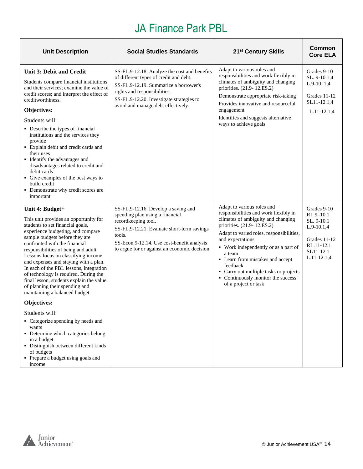# JA Finance Park PBL

| <b>Unit Description</b>                                                                                                                                                                                                                                                                                                                                                                                                                                                                                                                                                  | <b>Social Studies Standards</b>                                                                                                                                                                                                                      | 21 <sup>st</sup> Century Skills                                                                                                                                                                                                                                                                                                                                                                                   | Common<br><b>Core ELA</b>                                                                                           |
|--------------------------------------------------------------------------------------------------------------------------------------------------------------------------------------------------------------------------------------------------------------------------------------------------------------------------------------------------------------------------------------------------------------------------------------------------------------------------------------------------------------------------------------------------------------------------|------------------------------------------------------------------------------------------------------------------------------------------------------------------------------------------------------------------------------------------------------|-------------------------------------------------------------------------------------------------------------------------------------------------------------------------------------------------------------------------------------------------------------------------------------------------------------------------------------------------------------------------------------------------------------------|---------------------------------------------------------------------------------------------------------------------|
| <b>Unit 3: Debit and Credit</b><br>Students compare financial institutions<br>and their services; examine the value of<br>credit scores; and interpret the effect of<br>creditworthiness.<br>Objectives:<br>Students will:<br>• Describe the types of financial<br>institutions and the services they<br>provide<br>• Explain debit and credit cards and<br>their uses<br>• Identify the advantages and<br>disadvantages related to credit and<br>debit cards<br>• Give examples of the best ways to<br>build credit<br>• Demonstrate why credit scores are<br>important | SS-FL.9-12.18. Analyze the cost and benefits<br>of different types of credit and debt.<br>SS-FL.9-12.19. Summarize a borrower's<br>rights and responsibilities.<br>SS-FL.9-12.20. Investigate strategies to<br>avoid and manage debt effectively.    | Adapt to various roles and<br>responsibilities and work flexibly in<br>climates of ambiguity and changing<br>priorities. (21.9-12.ES.2)<br>Demonstrate appropriate risk-taking<br>Provides innovative and resourceful<br>engagement<br>Identifies and suggests alternative<br>ways to achieve goals                                                                                                               | Grades 9-10<br>SL. 9-10.1,4<br>$L.9-10.1,4$<br>Grades 11-12<br>SL11-12.1,4<br>L.11-12.1,4                           |
| Unit 4: Budget+<br>This unit provides an opportunity for<br>students to set financial goals,<br>experience budgeting, and compare<br>sample budgets before they are<br>confronted with the financial<br>responsibilities of being and adult.<br>Lessons focus on classifying income<br>and expenses and staying with a plan.<br>In each of the PBL lessons, integration<br>of technology is required. During the<br>final lesson, students explain the value<br>of planning their spending and<br>maintaining a balanced budget.                                         | SS-FL.9-12.16. Develop a saving and<br>spending plan using a financial<br>recordkeeping tool.<br>SS-FL.9-12.21. Evaluate short-term savings<br>tools.<br>SS-Econ.9-12.14. Use cost-benefit analysis<br>to argue for or against an economic decision. | Adapt to various roles and<br>responsibilities and work flexibly in<br>climates of ambiguity and changing<br>priorities. (21.9-12.ES.2)<br>Adapt to varied roles, responsibilities,<br>and expectations<br>• Work independently or as a part of<br>a team<br>• Learn from mistakes and accept<br>feedback<br>• Carry out multiple tasks or projects<br>• Continuously monitor the success<br>of a project or task | Grades 9-10<br>$RI.9-10.1$<br>SL. 9-10.1<br>$L.9-10.1,4$<br>Grades 11-12<br>RI .11-12.1<br>SL11-12.1<br>L.11-12.1,4 |
| <b>Objectives:</b>                                                                                                                                                                                                                                                                                                                                                                                                                                                                                                                                                       |                                                                                                                                                                                                                                                      |                                                                                                                                                                                                                                                                                                                                                                                                                   |                                                                                                                     |
| Students will:<br>• Categorize spending by needs and<br>wants<br>• Determine which categories belong<br>in a budget<br>· Distinguish between different kinds<br>of budgets<br>• Prepare a budget using goals and<br>income                                                                                                                                                                                                                                                                                                                                               |                                                                                                                                                                                                                                                      |                                                                                                                                                                                                                                                                                                                                                                                                                   |                                                                                                                     |

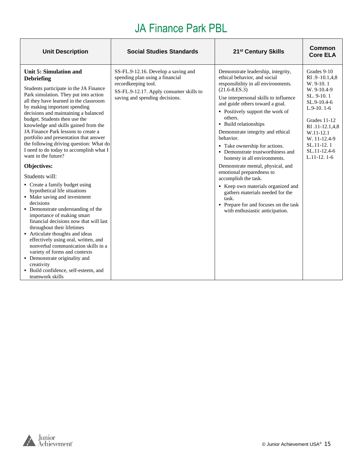# JA Finance Park PBL

| <b>Unit Description</b>                                                                                                                                                                                                                                                                                                                                                                                                                                                                                                                                                                                                                                                                                                                                                                                                                                                                                                                                                                                                                                                          | <b>Social Studies Standards</b>                                                                                                                                            | 21 <sup>st</sup> Century Skills                                                                                                                                                                                                                                                                                                                                                                                                                                                                                                                                                                                                                                                                    | Common<br><b>Core ELA</b>                                                                                                                                                                                             |
|----------------------------------------------------------------------------------------------------------------------------------------------------------------------------------------------------------------------------------------------------------------------------------------------------------------------------------------------------------------------------------------------------------------------------------------------------------------------------------------------------------------------------------------------------------------------------------------------------------------------------------------------------------------------------------------------------------------------------------------------------------------------------------------------------------------------------------------------------------------------------------------------------------------------------------------------------------------------------------------------------------------------------------------------------------------------------------|----------------------------------------------------------------------------------------------------------------------------------------------------------------------------|----------------------------------------------------------------------------------------------------------------------------------------------------------------------------------------------------------------------------------------------------------------------------------------------------------------------------------------------------------------------------------------------------------------------------------------------------------------------------------------------------------------------------------------------------------------------------------------------------------------------------------------------------------------------------------------------------|-----------------------------------------------------------------------------------------------------------------------------------------------------------------------------------------------------------------------|
| Unit 5: Simulation and<br><b>Debriefing</b><br>Students participate in the JA Finance<br>Park simulation. They put into action<br>all they have learned in the classroom<br>by making important spending<br>decisions and maintaining a balanced<br>budget. Students then use the<br>knowledge and skills gained from the<br>JA Finance Park lessons to create a<br>portfolio and presentation that answer<br>the following driving question: What do<br>I need to do today to accomplish what I<br>want in the future?<br>Objectives:<br>Students will:<br>• Create a family budget using<br>hypothetical life situations<br>• Make saving and investment<br>decisions<br>• Demonstrate understanding of the<br>importance of making smart<br>financial decisions now that will last<br>throughout their lifetimes<br>• Articulate thoughts and ideas<br>effectively using oral, written, and<br>nonverbal communication skills in a<br>variety of forms and contexts<br>• Demonstrate originality and<br>creativity<br>· Build confidence, self-esteem, and<br>teamwork skills | SS-FL.9-12.16. Develop a saving and<br>spending plan using a financial<br>recordkeeping tool.<br>SS-FL.9-12.17. Apply consumer skills to<br>saving and spending decisions. | Demonstrate leadership, integrity,<br>ethical behavior, and social<br>responsibility in all environments.<br>$(21.6 - 8.E.S.3)$<br>Use interpersonal skills to influence<br>and guide others toward a goal.<br>• Positively support the work of<br>others.<br>• Build relationships<br>Demonstrate integrity and ethical<br>behavior.<br>• Take ownership for actions.<br>• Demonstrate trustworthiness and<br>honesty in all environments.<br>Demonstrate mental, physical, and<br>emotional preparedness to<br>accomplish the task.<br>Keep own materials organized and<br>gathers materials needed for the<br>task.<br>• Prepare for and focuses on the task<br>with enthusiastic anticipation. | Grades 9-10<br>RI .9-10.1,4,8<br>W. 9-10.1<br>W. 9-10.4-9<br>SL. 9-10.1<br>SL.9-10.4-6<br>$L.9-10.1-6$<br>Grades 11-12<br>RI .11-12.1,4,8<br>W.11-12.1<br>W. 11-12.4-9<br>SL.11-12.1<br>SL.11-12.4-6<br>$L.11-12.1-6$ |

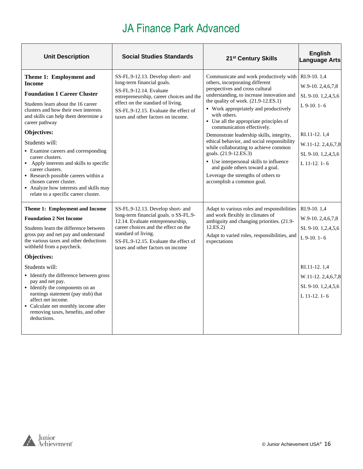| <b>Unit Description</b>                                                                                                                                                                                                                                                                                                                                                                                                                                                                                                                | <b>Social Studies Standards</b>                                                                                                                                                                                                                              | 21 <sup>st</sup> Century Skills                                                                                                                                                                                                                                                                                                                                                                                                                                                                                                                                                                                                                       | <b>English</b><br><b>Language Arts</b>                                                                                                              |
|----------------------------------------------------------------------------------------------------------------------------------------------------------------------------------------------------------------------------------------------------------------------------------------------------------------------------------------------------------------------------------------------------------------------------------------------------------------------------------------------------------------------------------------|--------------------------------------------------------------------------------------------------------------------------------------------------------------------------------------------------------------------------------------------------------------|-------------------------------------------------------------------------------------------------------------------------------------------------------------------------------------------------------------------------------------------------------------------------------------------------------------------------------------------------------------------------------------------------------------------------------------------------------------------------------------------------------------------------------------------------------------------------------------------------------------------------------------------------------|-----------------------------------------------------------------------------------------------------------------------------------------------------|
| Theme 1: Employment and<br><b>Income</b><br><b>Foundation 1 Career Cluster</b><br>Students learn about the 16 career<br>clusters and how their own interests<br>and skills can help them determine a<br>career pathway<br>Objectives:<br>Students will:<br>• Examine careers and corresponding<br>career clusters.<br>• Apply interests and skills to specific<br>career clusters.<br>• Research possible careers within a<br>chosen career cluster.<br>• Analyze how interests and skills may<br>relate to a specific career cluster. | SS-FL.9-12.13. Develop short- and<br>long-term financial goals.<br>SS-FL.9-12.14. Evaluate<br>entrepreneurship, career choices and the<br>effect on the standard of living.<br>SS-FL.9-12.15. Evaluate the effect of<br>taxes and other factors on income.   | Communicate and work productively with<br>others, incorporating different<br>perspectives and cross cultural<br>understanding, to increase innovation and<br>the quality of work. $(21.9-12.E.S.1)$<br>• Work appropriately and productively<br>with others.<br>• Use all the appropriate principles of<br>communication effectively.<br>Demonstrate leadership skills, integrity,<br>ethical behavior, and social responsibility<br>while collaborating to achieve common<br>goals. (21.9-12.ES.3)<br>• Use interpersonal skills to influence<br>and guide others toward a goal.<br>Leverage the strengths of others to<br>accomplish a common goal. | RI.9-10.1,4<br>W.9-10.2,4,6,7,8<br>SL 9-10. 1,2,4,5,6<br>$L$ 9-10, 1-6<br>RI.11-12.1,4<br>W.11-12.2,4,6,7,8<br>SL 9-10. 1,2,4,5,6<br>$L$ 11-12, 1-6 |
| Theme 1: Employment and Income<br><b>Foundation 2 Net Income</b><br>Students learn the difference between<br>gross pay and net pay and understand<br>the various taxes and other deductions<br>withheld from a paycheck.<br>Objectives:<br>Students will:<br>• Identify the difference between gross<br>pay and net pay.<br>• Identify the components on an<br>earnings statement (pay stub) that<br>affect net income.<br>• Calculate net monthly income after<br>removing taxes, benefits, and other<br>deductions.                  | SS-FL.9-12.13. Develop short- and<br>long-term financial goals. o SS-FL.9-<br>12.14. Evaluate entrepreneurship,<br>career choices and the effect on the<br>standard of living.<br>SS-FL.9-12.15. Evaluate the effect of<br>taxes and other factors on income | Adapt to various roles and responsibilities<br>and work flexibly in climates of<br>ambiguity and changing priorities. (21.9-<br>12.ES.2)<br>Adapt to varied roles, responsibilities, and<br>expectations                                                                                                                                                                                                                                                                                                                                                                                                                                              | RI.9-10.1,4<br>W.9-10.2,4,6,7,8<br>SL 9-10. 1,2,4,5,6<br>L 9-10. 1-6<br>RI.11-12.1,4<br>W.11-12.2,4,6,7,8<br>SL 9-10. 1,2,4,5,6<br>L 11-12. 1-6     |

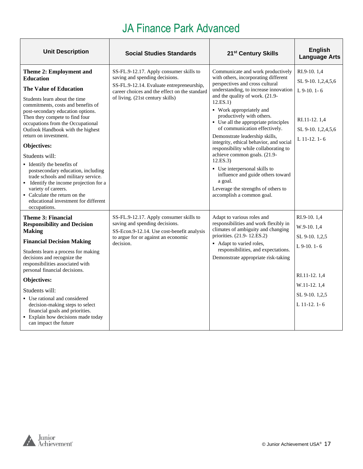| <b>Unit Description</b>                                                                                                                                                                                                                                                                                                                                                                                                                                                                                                                                                                                                             | <b>Social Studies Standards</b>                                                                                                                                                                             | 21 <sup>st</sup> Century Skills                                                                                                                                                                                                                                                                                                                                                                                                                                                                                                                                                                                                                               | <b>English</b><br><b>Language Arts</b>                                                                                         |
|-------------------------------------------------------------------------------------------------------------------------------------------------------------------------------------------------------------------------------------------------------------------------------------------------------------------------------------------------------------------------------------------------------------------------------------------------------------------------------------------------------------------------------------------------------------------------------------------------------------------------------------|-------------------------------------------------------------------------------------------------------------------------------------------------------------------------------------------------------------|---------------------------------------------------------------------------------------------------------------------------------------------------------------------------------------------------------------------------------------------------------------------------------------------------------------------------------------------------------------------------------------------------------------------------------------------------------------------------------------------------------------------------------------------------------------------------------------------------------------------------------------------------------------|--------------------------------------------------------------------------------------------------------------------------------|
| Theme 2: Employment and<br><b>Education</b><br><b>The Value of Education</b><br>Students learn about the time<br>commitments, costs and benefits of<br>post-secondary education options.<br>Then they compete to find four<br>occupations from the Occupational<br>Outlook Handbook with the highest<br>return on investment.<br>Objectives:<br>Students will:<br>• Identify the benefits of<br>postsecondary education, including<br>trade schools and military service.<br>• Identify the income projection for a<br>variety of careers.<br>• Calculate the return on the<br>educational investment for different<br>occupations. | SS-FL.9-12.17. Apply consumer skills to<br>saving and spending decisions.<br>SS-FL.9-12.14. Evaluate entrepreneurship,<br>career choices and the effect on the standard<br>of living. (21st century skills) | Communicate and work productively<br>with others, incorporating different<br>perspectives and cross cultural<br>understanding, to increase innovation<br>and the quality of work. (21.9-<br>12.ES.1)<br>• Work appropriately and<br>productively with others.<br>• Use all the appropriate principles<br>of communication effectively.<br>Demonstrate leadership skills,<br>integrity, ethical behavior, and social<br>responsibility while collaborating to<br>achieve common goals. (21.9-<br>12.ES.3)<br>• Use interpersonal skills to<br>influence and guide others toward<br>a goal.<br>Leverage the strengths of others to<br>accomplish a common goal. | RI.9-10.1,4<br>SL 9-10. 1,2,4,5,6<br>$L$ 9-10, 1-6<br>RI.11-12.1,4<br>SL 9-10. 1,2,4,5,6<br>$L$ 11-12, 1-6                     |
| Theme 3: Financial<br><b>Responsibility and Decision</b><br><b>Making</b><br><b>Financial Decision Making</b><br>Students learn a process for making<br>decisions and recognize the<br>responsibilities associated with<br>personal financial decisions.<br>Objectives:<br>Students will:<br>• Use rational and considered<br>decision-making steps to select<br>financial goals and priorities.<br>• Explain how decisions made today<br>can impact the future                                                                                                                                                                     | SS-FL.9-12.17. Apply consumer skills to<br>saving and spending decisions.<br>SS-Econ.9-12.14. Use cost-benefit analysis<br>to argue for or against an economic<br>decision.                                 | Adapt to various roles and<br>responsibilities and work flexibly in<br>climates of ambiguity and changing<br>priorities. (21.9-12.ES.2)<br>• Adapt to varied roles,<br>responsibilities, and expectations.<br>Demonstrate appropriate risk-taking                                                                                                                                                                                                                                                                                                                                                                                                             | RI.9-10.1.4<br>W.9-10.1,4<br>SL 9-10.1,2,5<br>$L$ 9-10. 1-6<br>RI.11-12.1.4<br>W.11-12.1,4<br>SL 9-10. 1,2,5<br>$L$ 11-12. 1-6 |

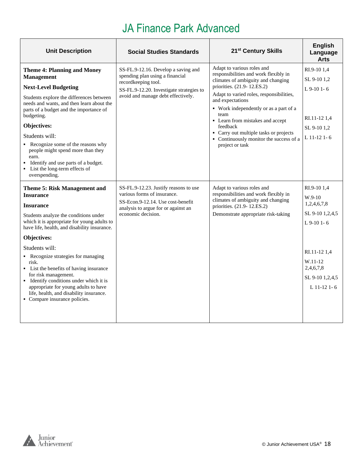| <b>Unit Description</b>                                                                                                                                                                                                                                                                                                                                                                                                                                                                                                                | <b>Social Studies Standards</b>                                                                                                                                                 | 21 <sup>st</sup> Century Skills                                                                                                                                                                                                                                                                                                                                                                                   | <b>English</b><br>Language<br><b>Arts</b>                                                                                                           |
|----------------------------------------------------------------------------------------------------------------------------------------------------------------------------------------------------------------------------------------------------------------------------------------------------------------------------------------------------------------------------------------------------------------------------------------------------------------------------------------------------------------------------------------|---------------------------------------------------------------------------------------------------------------------------------------------------------------------------------|-------------------------------------------------------------------------------------------------------------------------------------------------------------------------------------------------------------------------------------------------------------------------------------------------------------------------------------------------------------------------------------------------------------------|-----------------------------------------------------------------------------------------------------------------------------------------------------|
| <b>Theme 4: Planning and Money</b><br><b>Management</b><br><b>Next-Level Budgeting</b><br>Students explore the differences between<br>needs and wants, and then learn about the<br>parts of a budget and the importance of<br>budgeting.<br>Objectives:<br>Students will:<br>Recognize some of the reasons why<br>people might spend more than they<br>earn.<br>Identify and use parts of a budget.<br>List the long-term effects of<br>overspending.                                                                                  | SS-FL.9-12.16. Develop a saving and<br>spending plan using a financial<br>recordkeeping tool.<br>SS-FL.9-12.20. Investigate strategies to<br>avoid and manage debt effectively. | Adapt to various roles and<br>responsibilities and work flexibly in<br>climates of ambiguity and changing<br>priorities. (21.9-12.ES.2)<br>Adapt to varied roles, responsibilities,<br>and expectations<br>• Work independently or as a part of a<br>team<br>• Learn from mistakes and accept<br>feedback<br>• Carry out multiple tasks or projects<br>• Continuously monitor the success of a<br>project or task | RI.9-10 1,4<br>SL 9-10 1,2<br>$L$ 9-10 1-6<br>RI.11-12 1,4<br>SL 9-10 1,2<br>$L$ 11-12 1-6                                                          |
| <b>Theme 5: Risk Management and</b><br><b>Insurance</b><br><b>Insurance</b><br>Students analyze the conditions under<br>which it is appropriate for young adults to<br>have life, health, and disability insurance.<br>Objectives:<br>Students will:<br>• Recognize strategies for managing<br>risk.<br>• List the benefits of having insurance<br>for risk management.<br>• Identify conditions under which it is<br>appropriate for young adults to have<br>life, health, and disability insurance.<br>• Compare insurance policies. | SS-FL.9-12.23. Justify reasons to use<br>various forms of insurance.<br>SS-Econ.9-12.14. Use cost-benefit<br>analysis to argue for or against an<br>economic decision.          | Adapt to various roles and<br>responsibilities and work flexibly in<br>climates of ambiguity and changing<br>priorities. (21.9-12.ES.2)<br>Demonstrate appropriate risk-taking                                                                                                                                                                                                                                    | RI.9-10 1,4<br>$W.9-10$<br>1,2,4,6,7,8<br>SL 9-10 1,2,4,5<br>$L$ 9-10 1-6<br>RI.11-12 1,4<br>W.11-12<br>2,4,6,7,8<br>SL 9-10 1,2,4,5<br>L 11-12 1-6 |

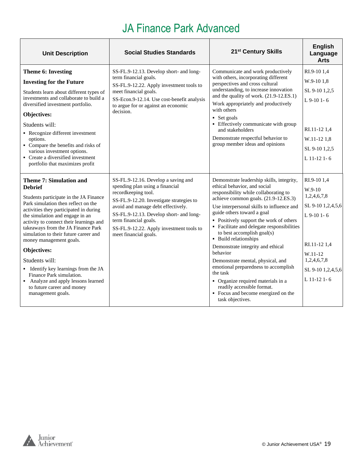| <b>Unit Description</b>                                                                                                                                                                                                                                                                                                                                                                                                                                                                                                                                            | <b>Social Studies Standards</b>                                                                                                                                                                                                                                                                                          | 21 <sup>st</sup> Century Skills                                                                                                                                                                                                                                                                                                                                                                                                                                                                                                                                                                                                                                | <b>English</b><br>Language<br><b>Arts</b>                                                                                                                   |
|--------------------------------------------------------------------------------------------------------------------------------------------------------------------------------------------------------------------------------------------------------------------------------------------------------------------------------------------------------------------------------------------------------------------------------------------------------------------------------------------------------------------------------------------------------------------|--------------------------------------------------------------------------------------------------------------------------------------------------------------------------------------------------------------------------------------------------------------------------------------------------------------------------|----------------------------------------------------------------------------------------------------------------------------------------------------------------------------------------------------------------------------------------------------------------------------------------------------------------------------------------------------------------------------------------------------------------------------------------------------------------------------------------------------------------------------------------------------------------------------------------------------------------------------------------------------------------|-------------------------------------------------------------------------------------------------------------------------------------------------------------|
| Theme 6: Investing<br><b>Investing for the Future</b><br>Students learn about different types of<br>investments and collaborate to build a<br>diversified investment portfolio.<br>Objectives:<br>Students will:<br>• Recognize different investment<br>options.<br>• Compare the benefits and risks of<br>various investment options.<br>• Create a diversified investment<br>portfolio that maximizes profit                                                                                                                                                     | SS-FL.9-12.13. Develop short- and long-<br>term financial goals.<br>SS-FL.9-12.22. Apply investment tools to<br>meet financial goals.<br>SS-Econ.9-12.14. Use cost-benefit analysis<br>to argue for or against an economic<br>decision.                                                                                  | Communicate and work productively<br>with others, incorporating different<br>perspectives and cross cultural<br>understanding, to increase innovation<br>and the quality of work. (21.9-12.ES.1)<br>Work appropriately and productively<br>with others<br>• Set goals<br>• Effectively communicate with group<br>and stakeholders<br>Demonstrate respectful behavior to<br>group member ideas and opinions                                                                                                                                                                                                                                                     | RI.9-10 1,4<br>W.9-101.8<br>SL 9-10 1,2,5<br>$L$ 9-10 1-6<br>RI.11-12 1,4<br>W.11-12 1,8<br>SL 9-10 1,2,5<br>L 11-12 1-6                                    |
| <b>Theme 7: Simulation and</b><br><b>Debrief</b><br>Students participate in the JA Finance<br>Park simulation then reflect on the<br>activities they participated in during<br>the simulation and engage in an<br>activity to connect their learnings and<br>takeaways from the JA Finance Park<br>simulation to their future career and<br>money management goals.<br>Objectives:<br>Students will:<br>• Identify key learnings from the JA<br>Finance Park simulation.<br>• Analyze and apply lessons learned<br>to future career and money<br>management goals. | SS-FL.9-12.16. Develop a saving and<br>spending plan using a financial<br>recordkeeping tool.<br>SS-FL.9-12.20. Investigate strategies to<br>avoid and manage debt effectively.<br>SS-FL.9-12.13. Develop short- and long-<br>term financial goals.<br>SS-FL.9-12.22. Apply investment tools to<br>meet financial goals. | Demonstrate leadership skills, integrity,<br>ethical behavior, and social<br>responsibility while collaborating to<br>achieve common goals. (21.9-12.ES.3)<br>Use interpersonal skills to influence and<br>guide others toward a goal<br>• Positively support the work of others<br>• Facilitate and delegate responsibilities<br>to best accomplish goal(s)<br>• Build relationships<br>Demonstrate integrity and ethical<br>behavior<br>Demonstrate mental, physical, and<br>emotional preparedness to accomplish<br>the task<br>• Organize required materials in a<br>readily accessible format.<br>• Focus and become energized on the<br>task objectives. | RI.9-10 1.4<br>$W.9-10$<br>1,2,4,6,7,8<br>SL 9-10 1,2,4,5,6<br>$L$ 9-10 1-6<br>RI.11-12 1.4<br>W.11-12<br>1,2,4,6,7,8<br>SL 9-10 1,2,4,5,6<br>$L$ 11-12 1-6 |

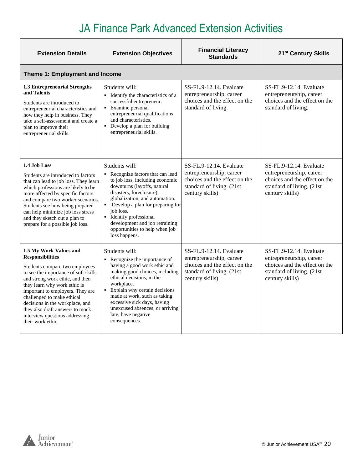| <b>Extension Details</b>                                                                                                                                                                                                                                                                                                                                                                      | <b>Extension Objectives</b>                                                                                                                                                                                                                                                                                                                                               | <b>Financial Literacy</b><br><b>Standards</b>                                                                                        | 21 <sup>st</sup> Century Skills                                                                                                      |
|-----------------------------------------------------------------------------------------------------------------------------------------------------------------------------------------------------------------------------------------------------------------------------------------------------------------------------------------------------------------------------------------------|---------------------------------------------------------------------------------------------------------------------------------------------------------------------------------------------------------------------------------------------------------------------------------------------------------------------------------------------------------------------------|--------------------------------------------------------------------------------------------------------------------------------------|--------------------------------------------------------------------------------------------------------------------------------------|
| Theme 1: Employment and Income                                                                                                                                                                                                                                                                                                                                                                |                                                                                                                                                                                                                                                                                                                                                                           |                                                                                                                                      |                                                                                                                                      |
| 1.3 Entrepreneurial Strengths<br>and Talents<br>Students are introduced to<br>entrepreneurial characteristics and<br>how they help in business. They<br>take a self-assessment and create a<br>plan to improve their<br>entrepreneurial skills.                                                                                                                                               | Students will:<br>Identify the characteristics of a<br>$\blacksquare$<br>successful entrepreneur.<br>Examine personal<br>entrepreneurial qualifications<br>and characteristics.<br>• Develop a plan for building<br>entrepreneurial skills.                                                                                                                               | SS-FL.9-12.14. Evaluate<br>entrepreneurship, career<br>choices and the effect on the<br>standard of living.                          | SS-FL.9-12.14. Evaluate<br>entrepreneurship, career<br>choices and the effect on the<br>standard of living.                          |
| 1.4 Job Loss<br>Students are introduced to factors<br>that can lead to job loss. They learn<br>which professions are likely to be<br>more affected by specific factors<br>and compare two worker scenarios.<br>Students see how being prepared<br>can help minimize job loss stress<br>and they sketch out a plan to<br>prepare for a possible job loss.                                      | Students will:<br>Recognize factors that can lead<br>to job loss, including economic<br>downturns (layoffs, natural<br>disasters, foreclosure),<br>globalization, and automation.<br>Develop a plan for preparing for<br>job loss.<br>• Identify professional<br>development and job retraining<br>opportunities to help when job<br>loss happens.                        | SS-FL.9-12.14. Evaluate<br>entrepreneurship, career<br>choices and the effect on the<br>standard of living. (21st<br>century skills) | SS-FL.9-12.14. Evaluate<br>entrepreneurship, career<br>choices and the effect on the<br>standard of living. (21st<br>century skills) |
| 1.5 My Work Values and<br><b>Responsibilities</b><br>Students compare two employees<br>to see the importance of soft skills<br>and strong work ethic, and then<br>they learn why work ethic is<br>important to employers. They are<br>challenged to make ethical<br>decisions in the workplace, and<br>they also draft answers to mock<br>interview questions addressing<br>their work ethic. | Students will:<br>Recognize the importance of<br>$\blacksquare$<br>having a good work ethic and<br>making good choices, including<br>ethical decisions, in the<br>workplace.<br>Explain why certain decisions<br>$\blacksquare$<br>made at work, such as taking<br>excessive sick days, having<br>unexcused absences, or arriving<br>late, have negative<br>consequences. | SS-FL.9-12.14. Evaluate<br>entrepreneurship, career<br>choices and the effect on the<br>standard of living. (21st<br>century skills) | SS-FL.9-12.14. Evaluate<br>entrepreneurship, career<br>choices and the effect on the<br>standard of living. (21st<br>century skills) |

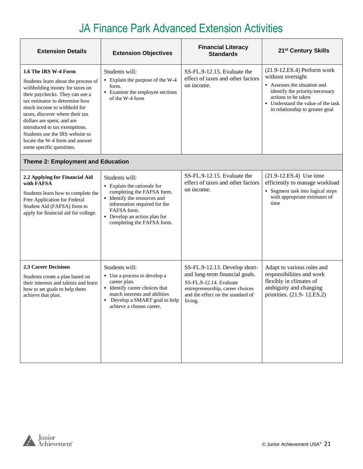| <b>Extension Details</b>                                                                                                                                                                                                                                                                                                                                                                             | <b>Extension Objectives</b>                                                                                                                                                                                              | <b>Financial Literacy</b><br><b>Standards</b>                                                                                                                                  | 21 <sup>st</sup> Century Skills                                                                                                                                                                                     |
|------------------------------------------------------------------------------------------------------------------------------------------------------------------------------------------------------------------------------------------------------------------------------------------------------------------------------------------------------------------------------------------------------|--------------------------------------------------------------------------------------------------------------------------------------------------------------------------------------------------------------------------|--------------------------------------------------------------------------------------------------------------------------------------------------------------------------------|---------------------------------------------------------------------------------------------------------------------------------------------------------------------------------------------------------------------|
| 1.6 The IRS W-4 Form<br>Students learn about the process of<br>withholding money for taxes on<br>their paychecks. They can use a<br>tax estimator to determine how<br>much income to withhold for<br>taxes, discover where their tax<br>dollars are spent, and are<br>introduced to tax exemptions.<br>Students use the IRS website to<br>locate the W-4 form and answer<br>some specific questions. | Students will:<br>• Explain the purpose of the W-4<br>form.<br>• Examine the employee sections<br>of the W-4 form                                                                                                        | SS-FL.9-12.15. Evaluate the<br>effect of taxes and other factors<br>on income.                                                                                                 | $(21.9-12.ES.4)$ Perform work<br>without oversight<br>Assesses the situation and<br>identify the priority/necessary<br>actions to be taken<br>• Understand the value of the task<br>in relationship to greater goal |
| Theme 2: Employment and Education                                                                                                                                                                                                                                                                                                                                                                    |                                                                                                                                                                                                                          |                                                                                                                                                                                |                                                                                                                                                                                                                     |
| 2.2 Applying for Financial Aid<br>with FAFSA<br>Students learn how to complete the<br>Free Application for Federal<br>Student Aid (FAFSA) form to<br>apply for financial aid for college.                                                                                                                                                                                                            | Students will:<br>• Explain the rationale for<br>completing the FAFSA form.<br>• Identify the resources and<br>information required for the<br>FAFSA form.<br>• Develop an action plan for<br>completing the FAFSA form. | SS-FL.9-12.15. Evaluate the<br>effect of taxes and other factors<br>on income.                                                                                                 | (21.9-12.ES.4) Use time<br>efficiently to manage workload<br>• Segment task into logical steps<br>with appropriate estimates of<br>time                                                                             |
| <b>2.3 Career Decisions</b><br>Students create a plan based on<br>their interests and talents and learn<br>how to set goals to help them<br>achieve that plan.                                                                                                                                                                                                                                       | Students will:<br>• Use a process to develop a<br>career plan.<br>• Identify career choices that<br>match interests and abilities<br>Develop a SMART goal to help<br>achieve a chosen career.                            | SS-FL.9-12.13. Develop short-<br>and long-term financial goals.<br>SS-FL.9-12.14. Evaluate<br>entrepreneurship, career choices<br>and the effect on the standard of<br>living. | Adapt to various roles and<br>responsibilities and work<br>flexibly in climates of<br>ambiguity and changing<br>priorities. (21.9-12.ES.2)                                                                          |

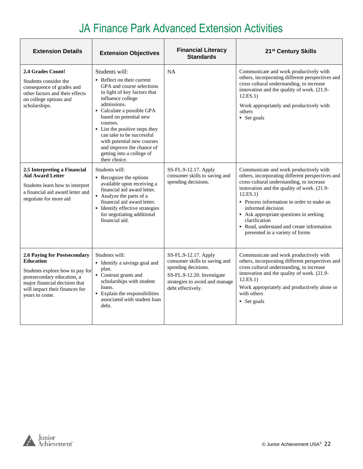| <b>Extension Details</b>                                                                                                                                                                               | <b>Extension Objectives</b>                                                                                                                                                                                                                                                                                                                                                               | <b>Financial Literacy</b><br><b>Standards</b>                                                                                                                     | 21 <sup>st</sup> Century Skills                                                                                                                                                                                                                                                                                                                                                                                |
|--------------------------------------------------------------------------------------------------------------------------------------------------------------------------------------------------------|-------------------------------------------------------------------------------------------------------------------------------------------------------------------------------------------------------------------------------------------------------------------------------------------------------------------------------------------------------------------------------------------|-------------------------------------------------------------------------------------------------------------------------------------------------------------------|----------------------------------------------------------------------------------------------------------------------------------------------------------------------------------------------------------------------------------------------------------------------------------------------------------------------------------------------------------------------------------------------------------------|
| 2.4 Grades Count!<br>Students consider the<br>consequence of grades and<br>other factors and their effects<br>on college options and<br>scholarships.                                                  | Students will:<br>• Reflect on their current<br>GPA and course selections<br>in light of key factors that<br>influence college<br>admissions.<br>• Calculate a possible GPA<br>based on potential new<br>courses.<br>• List the positive steps they<br>can take to be successful<br>with potential new courses<br>and improve the chance of<br>getting into a college of<br>their choice. | <b>NA</b>                                                                                                                                                         | Communicate and work productively with<br>others, incorporating different perspectives and<br>cross cultural understanding, to increase<br>innovation and the quality of work. (21.9-<br>12.ES.1)<br>Work appropriately and productively with<br>others<br>• Set goals                                                                                                                                         |
| 2.5 Interpreting a Financial<br><b>Aid Award Letter</b><br>Students learn how to interpret<br>a financial aid award letter and<br>negotiate for more aid                                               | Students will:<br>• Recognize the options<br>available upon receiving a<br>financial aid award letter.<br>• Analyze the parts of a<br>financial aid award letter.<br>• Identify effective strategies<br>for negotiating additional<br>financial aid.                                                                                                                                      | SS-FL.9-12.17. Apply<br>consumer skills to saving and<br>spending decisions.                                                                                      | Communicate and work productively with<br>others, incorporating different perspectives and<br>cross cultural understanding, to increase<br>innovation and the quality of work. (21.9-<br>12.ES.1)<br>• Process information in order to make an<br>informed decision<br>• Ask appropriate questions in seeking<br>clarification<br>• Read, understand and create information<br>presented in a variety of forms |
| 2.6 Paying for Postsecondary<br><b>Education</b><br>Students explore how to pay for<br>postsecondary education, a<br>major financial decision that<br>will impact their finances for<br>years to come. | Students will:<br>• Identify a savings goal and<br>plan.<br>• Contrast grants and<br>scholarships with student<br>loans.<br>• Explain the responsibilities<br>associated with student loan<br>debt.                                                                                                                                                                                       | SS-FL.9-12.17. Apply<br>consumer skills to saving and<br>spending decisions.<br>SS-FL.9-12.20. Investigate<br>strategies to avoid and manage<br>debt effectively. | Communicate and work productively with<br>others, incorporating different perspectives and<br>cross cultural understanding, to increase<br>innovation and the quality of work. (21.9-<br>12.ES.1)<br>Work appropriately and productively alone or<br>with others<br>• Set goals                                                                                                                                |

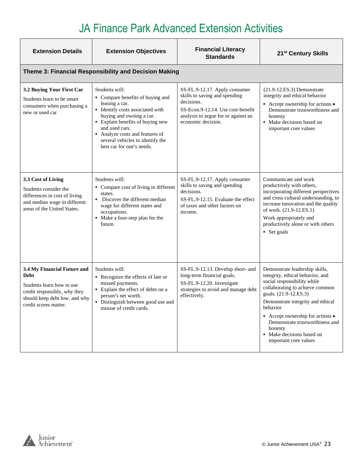| <b>Extension Details</b>                                                                                                                                          | <b>Extension Objectives</b>                                                                                                                                                                                                                                                                  | <b>Financial Literacy</b><br><b>Standards</b>                                                                                                                                  | 21 <sup>st</sup> Century Skills                                                                                                                                                                                                                                                                                                                        |
|-------------------------------------------------------------------------------------------------------------------------------------------------------------------|----------------------------------------------------------------------------------------------------------------------------------------------------------------------------------------------------------------------------------------------------------------------------------------------|--------------------------------------------------------------------------------------------------------------------------------------------------------------------------------|--------------------------------------------------------------------------------------------------------------------------------------------------------------------------------------------------------------------------------------------------------------------------------------------------------------------------------------------------------|
|                                                                                                                                                                   | Theme 3: Financial Responsibility and Decision Making                                                                                                                                                                                                                                        |                                                                                                                                                                                |                                                                                                                                                                                                                                                                                                                                                        |
| 3.2 Buying Your First Car<br>Students learn to be smart<br>consumers when purchasing a<br>new or used car                                                         | Students will:<br>• Compare benefits of buying and<br>leasing a car.<br>· Identify costs associated with<br>buying and owning a car.<br>• Explain benefits of buying new<br>and used cars.<br>Analyze costs and features of<br>several vehicles to identify the<br>best car for one's needs. | SS-FL.9-12.17. Apply consumer<br>skills to saving and spending<br>decisions.<br>SS-Econ.9-12.14. Use cost-benefit<br>analysis to argue for or against an<br>economic decision. | $(21.9-12.E.S.3)$ Demonstrate<br>integrity and ethical behavior<br>• Accept ownership for actions •<br>Demonstrate trustworthiness and<br>honesty<br>• Make decisions based on<br>important core values                                                                                                                                                |
| 3.3 Cost of Living<br>Students consider the<br>differences in cost of living<br>and median wage in different<br>areas of the United States.                       | Students will:<br>• Compare cost of living in different<br>states.<br>• Discover the different median<br>wage for different states and<br>occupations.<br>• Make a four-step plan for the<br>future.                                                                                         | SS-FL.9-12.17. Apply consumer<br>skills to saving and spending<br>decisions.<br>SS-FL.9-12.15. Evaluate the effect<br>of taxes and other factors on<br>income.                 | Communicate and work<br>productively with others,<br>incorporating different perspectives<br>and cross cultural understanding, to<br>increase innovation and the quality<br>of work. (21.9-12.ES.1)<br>Work appropriately and<br>productively alone or with others<br>• Set goals                                                                      |
| 3.4 My Financial Future and<br><b>Debt</b><br>Students learn how to use<br>credit responsibly, why they<br>should keep debt low, and why<br>credit scores matter. | Students will:<br>• Recognize the effects of late or<br>missed payments.<br>• Explain the effect of debts on a<br>person's net worth.<br>• Distinguish between good use and<br>misuse of credit cards.                                                                                       | SS-FL.9-12.13. Develop short- and<br>long-term financial goals.<br>SS-FL.9-12.20. Investigate<br>strategies to avoid and manage debt<br>effectively.                           | Demonstrate leadership skills,<br>integrity, ethical behavior, and<br>social responsibility while<br>collaborating to achieve common<br>goals. (21.9-12.ES.3)<br>Demonstrate integrity and ethical<br>behavior<br>• Accept ownership for actions •<br>Demonstrate trustworthiness and<br>honesty<br>• Make decisions based on<br>important core values |

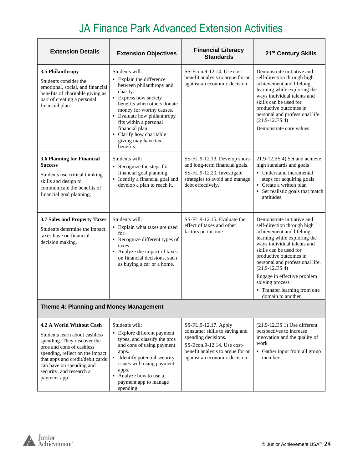| <b>Extension Details</b>                                                                                                                                            | <b>Extension Objectives</b>                                                                                                                                                                                                                                                                                        | <b>Financial Literacy</b><br><b>Standards</b>                                                                                                        | 21 <sup>st</sup> Century Skills                                                                                                                                                                                                                                                                                                                                          |
|---------------------------------------------------------------------------------------------------------------------------------------------------------------------|--------------------------------------------------------------------------------------------------------------------------------------------------------------------------------------------------------------------------------------------------------------------------------------------------------------------|------------------------------------------------------------------------------------------------------------------------------------------------------|--------------------------------------------------------------------------------------------------------------------------------------------------------------------------------------------------------------------------------------------------------------------------------------------------------------------------------------------------------------------------|
| 3.5 Philanthropy<br>Students consider the<br>emotional, social, and financial<br>benefits of charitable giving as<br>part of creating a personal<br>financial plan. | Students will:<br>• Explain the difference<br>between philanthropy and<br>charity.<br>• Express how society<br>benefits when others donate<br>money for worthy causes.<br>• Evaluate how philanthropy<br>fits within a personal<br>financial plan.<br>• Clarify how charitable<br>giving may have tax<br>benefits. | $SS-Econ.9-12.14$ . Use cost-<br>benefit analysis to argue for or<br>against an economic decision.                                                   | Demonstrate initiative and<br>self-direction through high<br>achievement and lifelong<br>learning while exploring the<br>ways individual talents and<br>skills can be used for<br>productive outcomes in<br>personal and professional life.<br>$(21.9 - 12.ES.4)$<br>Demonstrate core values                                                                             |
| 3.6 Planning for Financial<br><b>Success</b><br>Students use critical thinking<br>skills and design to<br>communicate the benefits of<br>financial goal planning.   | Students will:<br>• Recognize the steps for<br>financial goal planning.<br>Identify a financial goal and<br>develop a plan to reach it.                                                                                                                                                                            | SS-FL.9-12.13. Develop short-<br>and long-term financial goals.<br>SS-FL.9-12.20. Investigate<br>strategies to avoid and manage<br>debt effectively. | 21.9-12.ES.4) Set and achieve<br>high standards and goals<br>• Understand incremental<br>steps for acquiring goals<br>• Create a written plan<br>• Set realistic goals that match<br>aptitudes                                                                                                                                                                           |
| 3.7 Sales and Property Taxes<br>Students determine the impact<br>taxes have on financial<br>decision making.                                                        | Students will:<br>• Explain what taxes are used<br>for.<br>• Recognize different types of<br>taxes.<br>• Analyze the impact of taxes<br>on financial decisions, such<br>as buying a car or a home.                                                                                                                 | SS-FL.9-12.15. Evaluate the<br>effect of taxes and other<br>factors on income                                                                        | Demonstrate initiative and<br>self-direction through high<br>achievement and lifelong<br>learning while exploring the<br>ways individual talents and<br>skills can be used for<br>productive outcomes in<br>personal and professional life.<br>$(21.9 - 12.ES.4)$<br>Engage in effective problem<br>solving process<br>• Transfer learning from one<br>domain to another |
| Theme 4: Planning and Money Management                                                                                                                              |                                                                                                                                                                                                                                                                                                                    |                                                                                                                                                      |                                                                                                                                                                                                                                                                                                                                                                          |
| 4.2 A World Without Cash<br>Students learn about cashless<br>spending. They discover the<br>pros and cons of cashless                                               | Students will:<br>• Explore different payment<br>types, and classify the pros<br>and cons of using payment                                                                                                                                                                                                         | SS-FL.9-12.17. Apply<br>consumer skills to saving and<br>spending decisions.<br>SS-Econ.9-12.14. Use cost-                                           | $(21.9-12.E.S.1)$ Use different<br>perspectives to increase<br>innovation and the quality of<br>work                                                                                                                                                                                                                                                                     |

| pros and cons of cashless<br>spending, reflect on the impact<br>that apps and credit/debit cards<br>can have on spending and<br>security, and research a | and cons of using payment<br>apps.<br>Identify potential security<br>issues with using payment<br>apps. | SS-Econ.9-12.14. Use cost-<br>benefit analysis to argue for or<br>against an economic decision. | work<br>Gather input from all group<br>members |
|----------------------------------------------------------------------------------------------------------------------------------------------------------|---------------------------------------------------------------------------------------------------------|-------------------------------------------------------------------------------------------------|------------------------------------------------|
| payment app.                                                                                                                                             | Analyze how to use a<br>payment app to manage<br>spending.                                              |                                                                                                 |                                                |

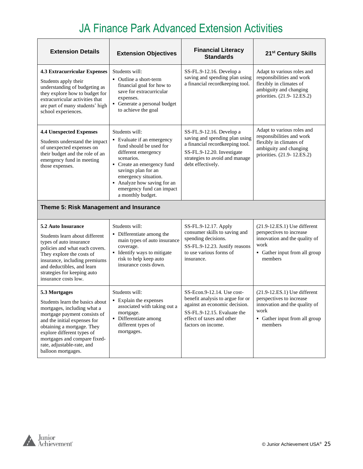| <b>Extension Details</b>                                                                                                                                                                                                                                                                        | <b>Extension Objectives</b>                                                                                                                                                                                                                                                | <b>Financial Literacy</b><br><b>Standards</b>                                                                                                                                      | 21 <sup>st</sup> Century Skills                                                                                                                  |  |
|-------------------------------------------------------------------------------------------------------------------------------------------------------------------------------------------------------------------------------------------------------------------------------------------------|----------------------------------------------------------------------------------------------------------------------------------------------------------------------------------------------------------------------------------------------------------------------------|------------------------------------------------------------------------------------------------------------------------------------------------------------------------------------|--------------------------------------------------------------------------------------------------------------------------------------------------|--|
| <b>4.3 Extracurricular Expenses</b><br>Students apply their<br>understanding of budgeting as<br>they explore how to budget for<br>extracurricular activities that<br>are part of many students' high<br>school experiences.                                                                     | Students will:<br>• Outline a short-term<br>financial goal for how to<br>save for extracurricular<br>expenses.<br>• Generate a personal budget<br>to achieve the goal                                                                                                      | SS-FL.9-12.16. Develop a<br>saving and spending plan using<br>a financial recordkeeping tool.                                                                                      | Adapt to various roles and<br>responsibilities and work<br>flexibly in climates of<br>ambiguity and changing<br>priorities. (21.9-12.ES.2)       |  |
| <b>4.4 Unexpected Expenses</b><br>Students understand the impact<br>of unexpected expenses on<br>their budget and the role of an<br>emergency fund in meeting<br>those expenses.                                                                                                                | Students will:<br>• Evaluate if an emergency<br>fund should be used for<br>different emergency<br>scenarios.<br>• Create an emergency fund<br>savings plan for an<br>emergency situation.<br>• Analyze how saving for an<br>emergency fund can impact<br>a monthly budget. | SS-FL.9-12.16. Develop a<br>saving and spending plan using<br>a financial recordkeeping tool.<br>SS-FL.9-12.20. Investigate<br>strategies to avoid and manage<br>debt effectively. | Adapt to various roles and<br>responsibilities and work<br>flexibly in climates of<br>ambiguity and changing<br>priorities. (21.9-12.ES.2)       |  |
| Theme 5: Risk Management and Insurance                                                                                                                                                                                                                                                          |                                                                                                                                                                                                                                                                            |                                                                                                                                                                                    |                                                                                                                                                  |  |
| 5.2 Auto Insurance<br>Students learn about different<br>types of auto insurance<br>policies and what each covers.<br>They explore the costs of<br>insurance, including premiums<br>and deductibles, and learn<br>strategies for keeping auto<br>insurance costs low.                            | Students will:<br>• Differentiate among the<br>main types of auto insurance<br>coverage.<br>• Identify ways to mitigate<br>risk to help keep auto<br>insurance costs down.                                                                                                 | SS-FL.9-12.17. Apply<br>consumer skills to saving and<br>spending decisions.<br>SS-FL.9-12.23. Justify reasons<br>to use various forms of<br>insurance.                            | $(21.9-12.E.S.1)$ Use different<br>perspectives to increase<br>innovation and the quality of<br>work<br>• Gather input from all group<br>members |  |
| 5.3 Mortgages<br>Students learn the basics about<br>mortgages, including what a<br>mortgage payment consists of<br>and the initial expenses for<br>obtaining a mortgage. They<br>explore different types of<br>mortgages and compare fixed-<br>rate, adjustable-rate, and<br>balloon mortgages. | Students will:<br>• Explain the expenses<br>associated with taking out a<br>mortgage.<br>Differentiate among<br>٠<br>different types of<br>mortgages.                                                                                                                      | SS-Econ.9-12.14. Use cost-<br>benefit analysis to argue for or<br>against an economic decision.<br>SS-FL.9-12.15. Evaluate the<br>effect of taxes and other<br>factors on income.  | $(21.9-12.E.S.1)$ Use different<br>perspectives to increase<br>innovation and the quality of<br>work<br>• Gather input from all group<br>members |  |